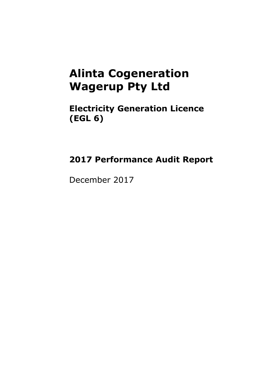### **Alinta Cogeneration Wagerup Pty Ltd**

**Electricity Generation Licence (EGL 6)**

### **2017 Performance Audit Report**

December 2017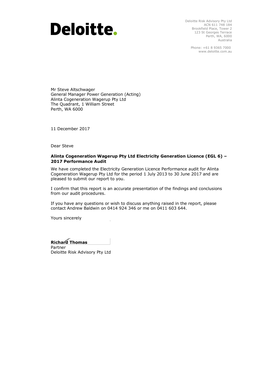## **Deloitte.**

Deloitte Risk Advisory Pty Ltd ACN 611 748 184 Brookfield Place, Tower 2 123 St Georges Terrace Perth, WA, 6000 Australia

> Phone: +61 8 9365 7000 www.deloitte.com.au

Mr Steve Altschwager General Manager Power Generation (Acting) Alinta Cogeneration Wagerup Pty Ltd The Quadrant, 1 William Street Perth, WA 6000

11 December 2017

Dear Steve

#### **Alinta Cogeneration Wagerup Pty Ltd Electricity Generation Licence (EGL 6) – 2017 Performance Audit**

We have completed the Electricity Generation Licence Performance audit for Alinta Cogeneration Wagerup Pty Ltd for the period 1 July 2013 to 30 June 2017 and are pleased to submit our report to you.

I confirm that this report is an accurate presentation of the findings and conclusions from our audit procedures.

If you have any questions or wish to discuss anything raised in the report, please contact Andrew Baldwin on 0414 924 346 or me on 0411 603 644.

Yours sincerely

**Richard Thomas** Partner

Deloitte Risk Advisory Pty Ltd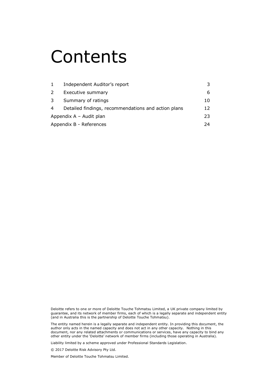## Contents

|                         | Independent Auditor's report                        |    |  |
|-------------------------|-----------------------------------------------------|----|--|
| 2                       | Executive summary                                   | 6  |  |
| 3                       | Summary of ratings                                  | 10 |  |
| 4                       | Detailed findings, recommendations and action plans | 12 |  |
| Appendix A - Audit plan |                                                     |    |  |
|                         | Appendix B - References                             | 24 |  |

Deloitte refers to one or more of Deloitte Touche Tohmatsu Limited, a UK private company limited by guarantee, and its network of member firms, each of which is a legally separate and independent entity (and in Australia this is the partnership of Deloitte Touche Tohmatsu).

The entity named herein is a legally separate and independent entity. In providing this document, the author only acts in the named capacity and does not act in any other capacity. Nothing in this document, nor any related attachments or communications or services, have any capacity to bind any other entity under the 'Deloitte' network of member firms (including those operating in Australia).

Liability limited by a scheme approved under Professional Standards Legislation.

© 2017 Deloitte Risk Advisory Pty Ltd.

Member of Deloitte Touche Tohmatsu Limited.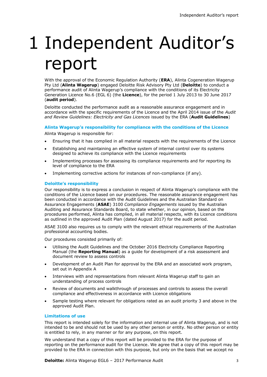# 1 Independent Auditor's report

With the approval of the Economic Regulation Authority (**ERA**), Alinta Cogeneration Wagerup Pty Ltd (**Alinta Wagerup**) engaged Deloitte Risk Advisory Pty Ltd (**Deloitte**) to conduct a performance audit of Alinta Wagerup's compliance with the conditions of its Electricity Generation Licence No.6 (EGL 6) (the **Licence**), for the period 1 July 2013 to 30 June 2017 (**audit period**).

Deloitte conducted the performance audit as a reasonable assurance engagement and in accordance with the specific requirements of the Licence and the April 2014 issue of the *Audit and Review Guidelines: Electricity and Gas Licences* issued by the ERA (**Audit Guidelines**)

#### **Alinta Wagerup's responsibility for compliance with the conditions of the Licence**

Alinta Wagerup is responsible for:

- Ensuring that it has complied in all material respects with the requirements of the Licence
- Establishing and maintaining an effective system of internal control over its systems designed to achieve its compliance with the Licence requirements
- Implementing processes for assessing its compliance requirements and for reporting its level of compliance to the ERA
- Implementing corrective actions for instances of non-compliance (if any).

#### **Deloitte's responsibility**

Our responsibility is to express a conclusion in respect of Alinta Wagerup's compliance with the conditions of the Licence based on our procedures. The reasonable assurance engagement has been conducted in accordance with the Audit Guidelines and the Australian Standard on Assurance Engagements (**ASAE**) 3100 *Compliance Engagements* issued by the Australian Auditing and Assurance Standards Board, to state whether, in our opinion, based on the procedures performed, Alinta has complied, in all material respects, with its Licence conditions as outlined in the approved Audit Plan (dated August 2017) for the audit period.

ASAE 3100 also requires us to comply with the relevant ethical requirements of the Australian professional accounting bodies.

Our procedures consisted primarily of:

- Utilising the Audit Guidelines and the October 2016 Electricity Compliance Reporting Manual (the **Reporting Manual**) as a guide for development of a risk assessment and document review to assess controls
- Development of an Audit Plan for approval by the ERA and an associated work program, set out in Appendix A
- Interviews with and representations from relevant Alinta Wagerup staff to gain an understanding of process controls
- Review of documents and walkthrough of processes and controls to assess the overall compliance and effectiveness in accordance with Licence obligations
- Sample testing where relevant for obligations rated as an audit priority 3 and above in the approved Audit Plan.

#### **Limitations of use**

This report is intended solely for the information and internal use of Alinta Wagerup, and is not intended to be and should not be used by any other person or entity. No other person or entity is entitled to rely, in any manner or for any purpose, on this report.

We understand that a copy of this report will be provided to the ERA for the purpose of reporting on the performance audit for the Licence. We agree that a copy of this report may be provided to the ERA in connection with this purpose, but only on the basis that we accept no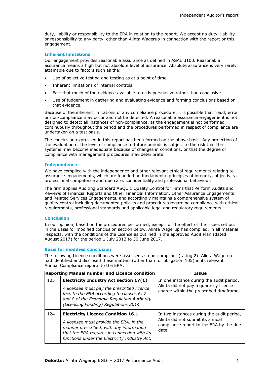duty, liability or responsibility to the ERA in relation to the report. We accept no duty, liability or responsibility to any party, other than Alinta Wagerup in connection with the report or this engagement.

#### **Inherent limitations**

Our engagement provides reasonable assurance as defined in ASAE 3100. Reasonable assurance means a high but not absolute level of assurance. Absolute assurance is very rarely attainable due to factors such as the:

- Use of selective testing and testing as at a point of time
- Inherent limitations of internal controls
- Fact that much of the evidence available to us is persuasive rather than conclusive
- Use of judgement in gathering and evaluating evidence and forming conclusions based on that evidence.

Because of the inherent limitations of any compliance procedure, it is possible that fraud, error or non-compliance may occur and not be detected. A reasonable assurance engagement is not designed to detect all instances of non-compliance, as the engagement is not performed continuously throughout the period and the procedures performed in respect of compliance are undertaken on a test basis.

The conclusion expressed in this report has been formed on the above basis. Any projection of the evaluation of the level of compliance to future periods is subject to the risk that the systems may become inadequate because of changes in conditions, or that the degree of compliance with management procedures may deteriorate.

#### **Independence**

We have complied with the independence and other relevant ethical requirements relating to assurance engagements, which are founded on fundamental principles of integrity, objectivity, professional competence and due care, confidentiality and professional behaviour.

The firm applies Auditing Standard ASQC 1 Quality Control for Firms that Perform Audits and Reviews of Financial Reports and Other Financial Information, Other Assurance Engagements and Related Services Engagements, and accordingly maintains a comprehensive system of quality control including documented policies and procedures regarding compliance with ethical requirements, professional standards and applicable legal and regulatory requirements.

#### **Conclusion**

In our opinion, based on the procedures performed, except for the effect of the issues set out in the Basis for modified conclusion section below, Alinta Wagerup has complied, in all material respects, with the conditions of the Licence as outlined in the approved Audit Plan (dated August 2017) for the period 1 July 2013 to 30 June 2017.

#### **Basis for modified conclusion**

The following Licence conditions were assessed as non-compliant (rating 2). Alinta Wagerup had identified and disclosed these matters (other than for obligation 105) in its relevant Annual Compliance reports to the ERA:

|     | <b>Reporting Manual number and Licence condition</b>                                                                                                                                                                             | Issue                                                                                                                             |
|-----|----------------------------------------------------------------------------------------------------------------------------------------------------------------------------------------------------------------------------------|-----------------------------------------------------------------------------------------------------------------------------------|
| 105 | <b>Electricity Industry Act section 17(1)</b><br>A licensee must pay the prescribed licence<br>fees to the ERA according to clauses 6, 7<br>and 8 of the Economic Regulation Authority<br>(Licensing Funding) Regulations 2014.  | In one instance during the audit period,<br>Alinta did not pay a quarterly licence<br>charge within the prescribed timeframe.     |
| 124 | <b>Electricity Licence Condition 16.1</b><br>A licensee must provide the ERA, in the<br>manner prescribed, with any information<br>that the ERA requires in connection with its<br>functions under the Electricity Industry Act. | In two instances during the audit period,<br>Alinta did not submit its annual<br>compliance report to the ERA by the due<br>date. |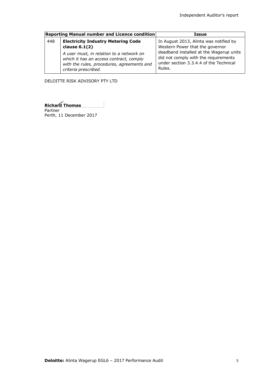|     | Reporting Manual number and Licence condition                                                                                                                                                                             | Issue                                                                                                                                                                                                            |
|-----|---------------------------------------------------------------------------------------------------------------------------------------------------------------------------------------------------------------------------|------------------------------------------------------------------------------------------------------------------------------------------------------------------------------------------------------------------|
| 448 | <b>Electricity Industry Metering Code</b><br>clause $6.1(2)$<br>A user must, in relation to a network on<br>which it has an access contract, comply<br>with the rules, procedures, agreements and<br>criteria prescribed. | In August 2013, Alinta was notified by<br>Western Power that the governor<br>deadband installed at the Wagerup units<br>did not comply with the requirements<br>under section 3.3.4.4 of the Technical<br>Rules. |

DELOITTE RISK ADVISORY PTY LTD

**Richard Thomas** Partner

Perth, 11 December 2017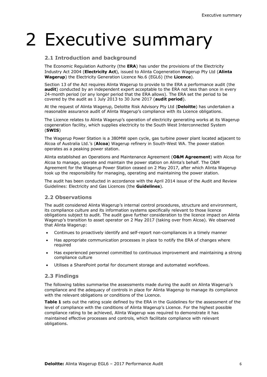# 2 Executive summary

#### **2.1 Introduction and background**

The Economic Regulation Authority (the **ERA**) has under the provisions of the Electricity Industry Act 2004 (**Electricity Act**), issued to Alinta Cogeneration Wagerup Pty Ltd (**Alinta Wagerup**) the Electricity Generation Licence No.6 (EGL6) (the **Licence**).

Section 13 of the Act requires Alinta Wagerup to provide to the ERA a performance audit (the **audit**) conducted by an independent expert acceptable to the ERA not less than once in every 24-month period (or any longer period that the ERA allows). The ERA set the period to be covered by the audit as 1 July 2013 to 30 June 2017 (**audit period**).

At the request of Alinta Wagerup, Deloitte Risk Advisory Pty Ltd (**Deloitte**) has undertaken a reasonable assurance audit of Alinta Wagerup's compliance with its Licence obligations.

The Licence relates to Alinta Wagerup's operation of electricity generating works at its Wagerup cogeneration facility, which supplies electricity to the South West Interconnected System (**SWIS**)

The Wagerup Power Station is a 380MW open cycle, gas turbine power plant located adjacent to Alcoa of Australia Ltd.'s (**Alcoa**) Wagerup refinery in South-West WA. The power station operates as a peaking power station.

Alinta established an Operations and Maintenance Agreement (**O&M Agreement**) with Alcoa for Alcoa to manage, operate and maintain the power station on Alinta's behalf. The O&M Agreement for the Wagerup Power Station ceased on 2 May 2017, after which Alinta Wagerup took up the responsibility for managing, operating and maintaining the power station.

The audit has been conducted in accordance with the April 2014 issue of the Audit and Review Guidelines: Electricity and Gas Licences (the **Guidelines**).

#### **2.2 Observations**

The audit considered Alinta Wagerup's internal control procedures, structure and environment, its compliance culture and its information systems specifically relevant to those licence obligations subject to audit. The audit gave further consideration to the licence impact on Alinta Wagerup's transition to asset operator on 2 May 2017 (taking over from Alcoa). We observed that Alinta Wagerup:

- Continues to proactively identify and self-report non-compliances in a timely manner
- Has appropriate communication processes in place to notify the ERA of changes where required
- Has experienced personnel committed to continuous improvement and maintaining a strong compliance culture
- Utilises a SharePoint portal for document storage and automated workflows.

#### **2.3 Findings**

The following tables summarise the assessments made during the audit on Alinta Wagerup's compliance and the adequacy of controls in place for Alinta Wagerup to manage its compliance with the relevant obligations or conditions of the Licence.

**Table 1** sets out the rating scale defined by the ERA in the Guidelines for the assessment of the level of compliance with the conditions of Alinta Wagerup's Licence. For the highest possible compliance rating to be achieved, Alinta Wagerup was required to demonstrate it has maintained effective processes and controls, which facilitate compliance with relevant obligations.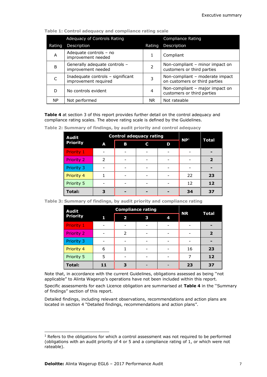|        | <b>Adequacy of Controls Rating</b>                        |               | <b>Compliance Rating</b>                                         |
|--------|-----------------------------------------------------------|---------------|------------------------------------------------------------------|
| Rating | Description                                               | Rating        | Description                                                      |
| A      | Adequate controls - no<br>improvement needed              |               | Compliant                                                        |
| B      | Generally adequate controls -<br>improvement needed       | $\mathcal{P}$ | Non-compliant – minor impact on<br>customers or third parties    |
|        | Inadequate controls - significant<br>improvement required | 3             | Non-compliant - moderate impact<br>on customers or third parties |
| D      | No controls evident                                       | 4             | Non-compliant - major impact on<br>customers or third parties    |
| NP.    | Not performed                                             | NR.           | Not rateable                                                     |

**Table 1: Control adequacy and compliance rating scale**

**Table 4** at section 3 of this report provides further detail on the control adequacy and compliance rating scales. The above rating scale is defined by the Guidelines.

| <b>Audit</b>      |   | <b>Control adequacy rating</b> | NP <sup>1</sup> |   |    |              |  |
|-------------------|---|--------------------------------|-----------------|---|----|--------------|--|
| <b>Priority</b>   | A | в                              | С               | D |    | <b>Total</b> |  |
| Priority 1        |   |                                |                 |   |    |              |  |
| <b>Priority 2</b> |   |                                |                 |   |    | 2            |  |
| Priority 3        |   |                                |                 |   |    |              |  |
| Priority 4        |   |                                |                 |   | 22 | 23           |  |
| Priority 5        |   |                                |                 |   | 12 | 12           |  |
| <b>Total:</b>     |   |                                |                 |   | 34 | 37           |  |

**Table 2: Summary of findings, by audit priority and control adequacy**

|  |  |  | Table 3: Summary of findings, by audit priority and compliance rating |  |  |
|--|--|--|-----------------------------------------------------------------------|--|--|
|--|--|--|-----------------------------------------------------------------------|--|--|

| <b>Audit</b>      |    | <b>Compliance rating</b> | <b>NR</b> | <b>Total</b> |    |    |
|-------------------|----|--------------------------|-----------|--------------|----|----|
| <b>Priority</b>   | 1  | 2                        | 3         | 4            |    |    |
| <b>Priority 1</b> |    |                          |           |              |    |    |
| <b>Priority 2</b> |    | 2                        |           |              |    | 2  |
| Priority 3        |    |                          |           |              |    |    |
| Priority 4        | 6  |                          |           |              | 16 | 23 |
| Priority 5        | 5  |                          |           |              |    | 12 |
| <b>Total:</b>     | 11 | З                        |           |              | 23 | 37 |

Note that, in accordance with the current Guidelines, obligations assessed as being ''not applicable" to Alinta Wagerup's operations have not been included within this report.

Specific assessments for each Licence obligation are summarised at **Table 4** in the ''Summary of findings" section of this report.

Detailed findings, including relevant observations, recommendations and action plans are located in section 4 "Detailed findings, recommendations and action plans".

-

 $1$  Refers to the obligations for which a control assessment was not required to be performed (obligations with an audit priority of 4 or 5 and a compliance rating of 1, or which were not rateable).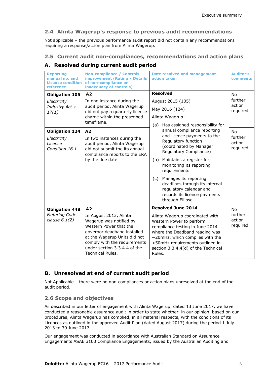#### **2.4 Alinta Wagerup's response to previous audit recommendations**

Not applicable – the previous performance audit report did not contain any recommendations requiring a response/action plan from Alinta Wagerup.

#### **2.5 Current audit non-compliances, recommendations and action plans**

#### **A. Resolved during current audit period**

| <b>Reporting</b><br>manual no. and<br><b>Licence condition</b><br>reference                                                          | <b>Non-compliance / Controls</b><br><b>improvement (Rating / Details</b><br>of non-compliance or<br>inadequacy of controls)                                                                                                                                                                                                          | <b>Date resolved and management</b><br>action taken                                                                                                                                                                                                                                                                                                                                                                                                                                        | <b>Auditor's</b><br>comments                                                        |
|--------------------------------------------------------------------------------------------------------------------------------------|--------------------------------------------------------------------------------------------------------------------------------------------------------------------------------------------------------------------------------------------------------------------------------------------------------------------------------------|--------------------------------------------------------------------------------------------------------------------------------------------------------------------------------------------------------------------------------------------------------------------------------------------------------------------------------------------------------------------------------------------------------------------------------------------------------------------------------------------|-------------------------------------------------------------------------------------|
| <b>Obligation 105</b><br>Electricity<br>Industry Act s<br>17(1)<br><b>Obligation 124</b><br>Electricity<br>Licence<br>Condition 16.1 | A <sub>2</sub><br>In one instance during the<br>audit period, Alinta Wagerup<br>did not pay a quarterly licence<br>charge within the prescribed<br>timeframe.<br>A <sub>2</sub><br>In two instances during the<br>audit period, Alinta Wagerup<br>did not submit the its annual<br>compliance reports to the ERA<br>by the due date. | <b>Resolved</b><br>August 2015 (105)<br>May 2016 (124)<br>Alinta Wagerup:<br>(a) Has assigned responsibility for<br>annual compliance reporting<br>and licence payments to the<br>Regulatory function<br>(coordinated by Manager<br>Regulatory Compliance)<br>Maintains a register for<br>(b)<br>monitoring its reporting<br>requirements<br>Manages its reporting<br>(c)<br>deadlines through its internal<br>regulatory calendar and<br>records its licence payments<br>through Ellipse. | <b>No</b><br>further<br>action<br>required.<br>No<br>further<br>action<br>required. |
| <b>Obligation 448</b><br><b>Metering Code</b><br>clause $6.1(2)$                                                                     | A <sub>2</sub><br>In August 2013, Alinta<br>Wagerup was notified by<br>Western Power that the<br>governor deadband installed<br>at the Wagerup Units did not<br>comply with the requirements<br>under section 3.3.4.4 of the<br><b>Technical Rules.</b>                                                                              | <b>Resolved June 2014</b><br>Alinta Wagerup coordinated with<br>Western Power to perform<br>compliance testing in June 2014<br>where the Deadband reading was<br>$\sim$ 20mHz, which complies with the<br><50mHz requirements outlined in<br>section 3.3.4.4(d) of the Technical<br>Rules.                                                                                                                                                                                                 | <b>No</b><br>further<br>action<br>required.                                         |

#### **B. Unresolved at end of current audit period**

Not Applicable – there were no non-compliances or action plans unresolved at the end of the audit period.

#### **2.6 Scope and objectives**

As described in our letter of engagement with Alinta Wagerup, dated 13 June 2017, we have conducted a reasonable assurance audit in order to state whether, in our opinion, based on our procedures, Alinta Wagerup has complied, in all material respects, with the conditions of its Licences as outlined in the approved Audit Plan (dated August 2017) during the period 1 July 2013 to 30 June 2017.

Our engagement was conducted in accordance with Australian Standard on Assurance Engagements ASAE 3100 Compliance Engagements, issued by the Australian Auditing and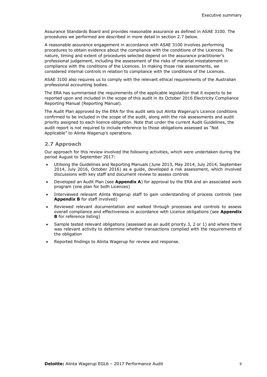Assurance Standards Board and provides reasonable assurance as defined in ASAE 3100. The procedures we performed are described in more detail in section 2.7 below.

A reasonable assurance engagement in accordance with ASAE 3100 involves performing procedures to obtain evidence about the compliance with the conditions of the Licences. The nature, timing and extent of procedures selected depend on the assurance practitioner's professional judgement, including the assessment of the risks of material misstatement in compliance with the conditions of the Licences. In making those risk assessments, we considered internal controls in relation to compliance with the conditions of the Licences.

ASAE 3100 also requires us to comply with the relevant ethical requirements of the Australian professional accounting bodies.

The ERA has summarised the requirements of the applicable legislation that it expects to be reported upon and included in the scope of this audit in its October 2016 Electricity Compliance Reporting Manual (Reporting Manual).

The Audit Plan approved by the ERA for this audit sets out Alinta Wagerup's Licence conditions confirmed to be included in the scope of the audit, along with the risk assessments and audit priority assigned to each licence obligation. Note that under the current Audit Guidelines, the audit report is not required to include reference to those obligations assessed as "Not Applicable" to Alinta Wagerup's operations.

#### **2.7 Approach**

Our approach for this review involved the following activities, which were undertaken during the period August to September 2017:

- Utilising the Guidelines and Reporting Manuals (June 2013, May 2014, July 2014, September 2014, July 2016, October 2016) as a guide, developed a risk assessment, which involved discussions with key staff and document review to assess controls
- Developed an Audit Plan (see **Appendix A**) for approval by the ERA and an associated work program (one plan for both Licences)
- Interviewed relevant Alinta Wagerup staff to gain understanding of process controls (see **Appendix B** for staff involved)
- Reviewed relevant documentation and walked through processes and controls to assess overall compliance and effectiveness in accordance with Licence obligations (see **Appendix B** for reference listing)
- Sample tested relevant obligations (assessed as an audit priority 3, 2 or 1) and where there was relevant activity to determine whether transactions complied with the requirements of the obligation
- Reported findings to Alinta Wagerup for review and response.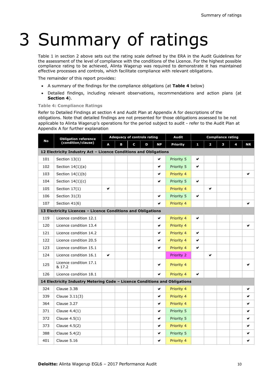# 3 Summary of ratings

Table 1 in section 2 above sets out the rating scale defined by the ERA in the Audit Guidelines for the assessment of the level of compliance with the conditions of the Licence. For the highest possible compliance rating to be achieved, Alinta Wagerup was required to demonstrate it has maintained effective processes and controls, which facilitate compliance with relevant obligations.

The remainder of this report provides:

- A summary of the findings for the compliance obligations (at **Table 4** below)
- Detailed findings, including relevant observations, recommendations and action plans (at **Section 4**).

#### **Table 4: Compliance Ratings**

Refer to Detailed Findings at section 4 and Audit Plan at Appendix A for descriptions of the obligations. Note that detailed findings are not presented for those obligations assessed to be not applicable to Alinta Wagerup's operations for the period subject to audit - refer to the Audit Plan at Appendix A for further explanation

|                                                                            | <b>Obligation reference</b>      |                               | <b>Adequacy of controls rating</b> |                 |   |                         | <b>Audit</b> | <b>Compliance rating</b> |           |  |  |              |
|----------------------------------------------------------------------------|----------------------------------|-------------------------------|------------------------------------|-----------------|---|-------------------------|--------------|--------------------------|-----------|--|--|--------------|
| <b>No</b>                                                                  | (condition/clause)               | C<br><b>NP</b><br>D<br>A<br>в |                                    | <b>Priority</b> | 1 | $\overline{\mathbf{c}}$ | з            | 4                        | <b>NR</b> |  |  |              |
| 12 Electricity Industry Act - Licence Conditions and Obligations           |                                  |                               |                                    |                 |   |                         |              |                          |           |  |  |              |
| 101                                                                        | Section $13(1)$                  |                               |                                    |                 |   | ✔                       | Priority 5   | V                        |           |  |  |              |
| 102                                                                        | Section $14(1)(a)$               |                               |                                    |                 |   | V                       | Priority 5   | V                        |           |  |  |              |
| 103                                                                        | Section $14(1)(b)$               |                               |                                    |                 |   | ✔                       | Priority 4   |                          |           |  |  | v            |
| 104                                                                        | Section $14(1)(c)$               |                               |                                    |                 |   | ✔                       | Priority 5   | ✔                        |           |  |  |              |
| 105                                                                        | Section 17(1)                    | ✔                             |                                    |                 |   |                         | Priority 4   |                          | ✔         |  |  |              |
| 106                                                                        | Section 31(3)                    |                               |                                    |                 |   | ✔                       | Priority 5   | ✔                        |           |  |  |              |
| 107                                                                        | Section 41(6)                    |                               |                                    |                 |   | ✔                       | Priority 4   |                          |           |  |  | V            |
| 13 Electricity Licences - Licence Conditions and Obligations               |                                  |                               |                                    |                 |   |                         |              |                          |           |  |  |              |
| 119                                                                        | Licence condition 12.1           |                               |                                    |                 |   | v                       | Priority 4   | v                        |           |  |  |              |
| 120                                                                        | Licence condition 13.4           |                               |                                    |                 |   | ✔                       | Priority 4   |                          |           |  |  | $\checkmark$ |
| 121                                                                        | Licence condition 14.2           |                               |                                    |                 |   | ✔                       | Priority 4   | V                        |           |  |  |              |
| 122                                                                        | Licence condition 20.5           |                               |                                    |                 |   | ✔                       | Priority 4   | v                        |           |  |  |              |
| 123                                                                        | Licence condition 15.1           |                               |                                    |                 |   | ✔                       | Priority 4   | ✔                        |           |  |  |              |
| 124                                                                        | Licence condition 16.1           | ✔                             |                                    |                 |   |                         | Priority 2   |                          | v         |  |  |              |
| 125                                                                        | Licence condition 17.1<br>& 17.2 |                               |                                    |                 |   | ✔                       | Priority 4   |                          |           |  |  | ✔            |
| 126                                                                        | Licence condition 18.1           |                               |                                    |                 |   | Ù                       | Priority 4   | V                        |           |  |  |              |
| 14 Electricity Industry Metering Code - Licence Conditions and Obligations |                                  |                               |                                    |                 |   |                         |              |                          |           |  |  |              |
| 324                                                                        | Clause 3.3B                      |                               |                                    |                 |   | ✔                       | Priority 4   |                          |           |  |  | ✔            |
| 339                                                                        | Clause 3.11(3)                   |                               |                                    |                 |   | ✔                       | Priority 4   |                          |           |  |  | v            |
| 364                                                                        | Clause 3.27                      |                               |                                    |                 |   | ✔                       | Priority 4   |                          |           |  |  | v            |
| 371                                                                        | Clause $4.4(1)$                  |                               |                                    |                 |   | ✔                       | Priority 5   |                          |           |  |  | ✔            |
| 372                                                                        | Clause $4.5(1)$                  |                               |                                    |                 |   | ✔                       | Priority 5   |                          |           |  |  | v            |
| 373                                                                        | Clause 4.5(2)                    |                               |                                    |                 |   | v                       | Priority 4   |                          |           |  |  | ✔            |
| 388                                                                        | Clause 5.4(2)                    |                               |                                    |                 |   | ✔                       | Priority 5   |                          |           |  |  | ✔            |
| 401                                                                        | Clause 5.16                      |                               |                                    |                 |   | ✔                       | Priority 4   |                          |           |  |  | ✔            |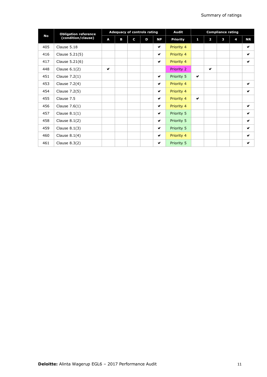|           | <b>Obligation reference</b> |              | <b>Adequacy of controls rating</b> |   |   |                      |                 | <b>Compliance rating</b> |                |   |   |                      |
|-----------|-----------------------------|--------------|------------------------------------|---|---|----------------------|-----------------|--------------------------|----------------|---|---|----------------------|
| <b>No</b> | (condition/clause)          | A            | B                                  | C | D | <b>NP</b>            | <b>Priority</b> | 1                        | $\overline{2}$ | 3 | 4 | <b>NR</b>            |
| 405       | Clause 5.18                 |              |                                    |   |   | ✔                    | Priority 4      |                          |                |   |   | v                    |
| 416       | Clause 5.21(5)              |              |                                    |   |   | ✔                    | Priority 4      |                          |                |   |   | V                    |
| 417       | Clause 5.21(6)              |              |                                    |   |   | ✔                    | Priority 4      |                          |                |   |   | $\blacktriangledown$ |
| 448       | Clause $6.1(2)$             | $\checkmark$ |                                    |   |   |                      | Priority 2      |                          | $\checkmark$   |   |   |                      |
| 451       | Clause $7.2(1)$             |              |                                    |   |   | ✔                    | Priority 5      | ✔                        |                |   |   |                      |
| 453       | Clause 7.2(4)               |              |                                    |   |   | ✔                    | Priority 4      |                          |                |   |   | V                    |
| 454       | Clause 7.2(5)               |              |                                    |   |   | $\blacktriangledown$ | Priority 4      |                          |                |   |   | $\blacktriangledown$ |
| 455       | Clause 7.5                  |              |                                    |   |   | ✔                    | Priority 4      | ✔                        |                |   |   |                      |
| 456       | Clause $7.6(1)$             |              |                                    |   |   | ✔                    | Priority 4      |                          |                |   |   | V                    |
| 457       | Clause $8.1(1)$             |              |                                    |   |   | $\blacktriangledown$ | Priority 5      |                          |                |   |   | $\blacktriangledown$ |
| 458       | Clause $8.1(2)$             |              |                                    |   |   | ✔                    | Priority 5      |                          |                |   |   | $\blacktriangledown$ |
| 459       | Clause $8.1(3)$             |              |                                    |   |   | ✔                    | Priority 5      |                          |                |   |   | V                    |
| 460       | Clause $8.1(4)$             |              |                                    |   |   | ✔                    | Priority 4      |                          |                |   |   | $\blacktriangledown$ |
| 461       | Clause $8.3(2)$             |              |                                    |   |   | ✔                    | Priority 5      |                          |                |   |   | V                    |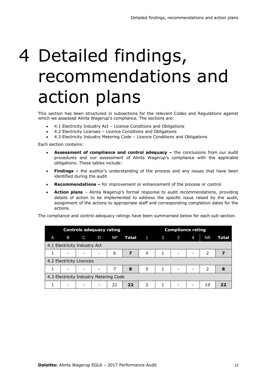# 4 Detailed findings, recommendations and action plans

This section has been structured in subsections for the relevant Codes and Regulations against which we assessed Alinta Wagerup's compliance. The sections are:

- 4.1 Electricity Industry Act Licence Conditions and Obligations
- 4.2 Electricity Licenses Licence Conditions and Obligations
- 4.3 Electricity Industry Metering Code Licence Conditions and Obligations

Each section contains:

- Assessment of compliance and control adequacy the conclusions from our audit procedures and our assessment of Alinta Wagerup's compliance with the applicable obligations. These tables include:
- **Findings –** the auditor's understanding of the process and any issues that have been identified during the audit
- **Recommendations –** for improvement or enhancement of the process or control
- **Action plans**  Alinta Wagerup's formal response to audit recommendations, providing details of action to be implemented to address the specific issue raised by the audit, assignment of the actions to appropriate staff and corresponding completion dates for the actions.

The compliance and control adequacy ratings have been summarised below for each sub-section.

| <b>Controls adequacy rating</b>        |                              |                          |                          |           |                         | <b>Compliance rating</b> |              |                          |                          |           |       |
|----------------------------------------|------------------------------|--------------------------|--------------------------|-----------|-------------------------|--------------------------|--------------|--------------------------|--------------------------|-----------|-------|
| A                                      | B                            | C                        | D                        | <b>NP</b> |                         | $Total \t1 \t2$          |              | 3                        | $\overline{4}$           | <b>NR</b> | Total |
|                                        | 4.1 Electricity Industry Act |                          |                          |           |                         |                          |              |                          |                          |           |       |
| 1                                      | $\overline{\phantom{a}}$     | $\overline{\phantom{a}}$ | $\overline{\phantom{a}}$ | 6         | $\overline{\mathbf{z}}$ | $\overline{4}$           | 1            | $\overline{\phantom{a}}$ | -                        | 2         | 7     |
| 4.2 Electricity Licences               |                              |                          |                          |           |                         |                          |              |                          |                          |           |       |
|                                        | $\overline{\phantom{0}}$     | $\overline{\phantom{a}}$ |                          | 7         | 8                       | 5                        | $\mathbf{1}$ | $\overline{\phantom{a}}$ | $\overline{\phantom{a}}$ | 2         | 8     |
| 4.3 Electricity Industry Metering Code |                              |                          |                          |           |                         |                          |              |                          |                          |           |       |
| 1                                      | $\overline{\phantom{0}}$     | $\qquad \qquad$          |                          | 21        | 22                      | $\mathcal{P}$            | 1            | $\overline{\phantom{a}}$ | $\overline{\phantom{0}}$ | 19        | フフ    |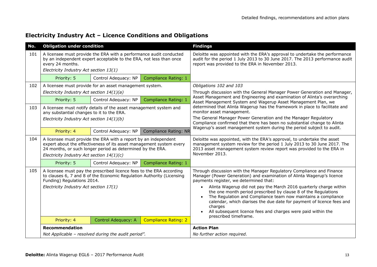| Electricity Industry Act - Licence Conditions and Obligations |  |  |  |  |  |  |  |
|---------------------------------------------------------------|--|--|--|--|--|--|--|
|---------------------------------------------------------------|--|--|--|--|--|--|--|

| No. | <b>Obligation under condition</b>                                                                                                                                                                                                                 |                                                                                                                                               |                             | <b>Findings</b>                                                                                                                                                                                                                                                                                                                                                                                                                                                                                                                                                                             |
|-----|---------------------------------------------------------------------------------------------------------------------------------------------------------------------------------------------------------------------------------------------------|-----------------------------------------------------------------------------------------------------------------------------------------------|-----------------------------|---------------------------------------------------------------------------------------------------------------------------------------------------------------------------------------------------------------------------------------------------------------------------------------------------------------------------------------------------------------------------------------------------------------------------------------------------------------------------------------------------------------------------------------------------------------------------------------------|
| 101 | every 24 months.                                                                                                                                                                                                                                  | A licensee must provide the ERA with a performance audit conducted<br>by an independent expert acceptable to the ERA, not less than once      |                             | Deloitte was appointed with the ERA's approval to undertake the performance<br>audit for the period 1 July 2013 to 30 June 2017. The 2013 performance audit<br>report was provided to the ERA in November 2013.                                                                                                                                                                                                                                                                                                                                                                             |
|     | Electricity Industry Act section 13(1)                                                                                                                                                                                                            |                                                                                                                                               |                             |                                                                                                                                                                                                                                                                                                                                                                                                                                                                                                                                                                                             |
|     | Priority: 5                                                                                                                                                                                                                                       | Control Adequacy: NP                                                                                                                          | Compliance Rating: 1        |                                                                                                                                                                                                                                                                                                                                                                                                                                                                                                                                                                                             |
| 102 |                                                                                                                                                                                                                                                   | A licensee must provide for an asset management system.                                                                                       |                             | Obligations 102 and 103                                                                                                                                                                                                                                                                                                                                                                                                                                                                                                                                                                     |
|     | Electricity Industry Act section 14(1)(a)                                                                                                                                                                                                         |                                                                                                                                               |                             | Through discussion with the General Manager Power Generation and Manager,                                                                                                                                                                                                                                                                                                                                                                                                                                                                                                                   |
|     | Priority: 5                                                                                                                                                                                                                                       | Control Adequacy: NP                                                                                                                          | Compliance Rating: 1        | Asset Management and Engineering and examination of Alinta's overarching<br>Asset Management System and Wagerup Asset Management Plan, we                                                                                                                                                                                                                                                                                                                                                                                                                                                   |
| 103 | A licensee must notify details of the asset management system and<br>any substantial changes to it to the ERA.<br>Electricity Industry Act section 14(1)(b)                                                                                       |                                                                                                                                               |                             | determined that Alinta Wagerup has the framework in place to facilitate and<br>monitor asset management.<br>The General Manager Power Generation and the Manager Regulatory<br>Compliance confirmed that there has been no substantial change to Alinta                                                                                                                                                                                                                                                                                                                                     |
|     | Priority: 4                                                                                                                                                                                                                                       | Control Adequacy: NP                                                                                                                          | Compliance Rating: NR       | Wagerup's asset management system during the period subject to audit.                                                                                                                                                                                                                                                                                                                                                                                                                                                                                                                       |
| 104 | A licensee must provide the ERA with a report by an independent<br>expert about the effectiveness of its asset management system every<br>24 months, or such longer period as determined by the ERA.<br>Electricity Industry Act section 14(1)(c) |                                                                                                                                               |                             | Deloitte was appointed, with the ERA's approval, to undertake the asset<br>management system review for the period 1 July 2013 to 30 June 2017. The<br>2013 asset management system review report was provided to the ERA in<br>November 2013.                                                                                                                                                                                                                                                                                                                                              |
|     | Priority: 5                                                                                                                                                                                                                                       | Control Adequacy: NP                                                                                                                          | Compliance Rating: 1        |                                                                                                                                                                                                                                                                                                                                                                                                                                                                                                                                                                                             |
| 105 | Funding) Regulations 2014.<br>Electricity Industry Act section 17(1)                                                                                                                                                                              | A licensee must pay the prescribed licence fees to the ERA according<br>to clauses 6, 7 and 8 of the Economic Regulation Authority (Licensing |                             | Through discussion with the Manager Regulatory Compliance and Finance<br>Manager (Power Generation) and examination of Alinta Wagerup's licence<br>payments register, we determined that:<br>Alinta Wagerup did not pay the March 2016 quarterly charge within<br>$\bullet$<br>the one month period prescribed by clause 8 of the Regulations<br>The Regulation and Compliance team now maintains a compliance<br>calendar, which diarises the due date for payment of licence fees and<br>charges<br>All subsequent licence fees and charges were paid within the<br>prescribed timeframe. |
|     | Priority: 4                                                                                                                                                                                                                                       | Control Adequacy: A                                                                                                                           | <b>Compliance Rating: 2</b> |                                                                                                                                                                                                                                                                                                                                                                                                                                                                                                                                                                                             |
|     | <b>Recommendation</b>                                                                                                                                                                                                                             |                                                                                                                                               |                             | <b>Action Plan</b>                                                                                                                                                                                                                                                                                                                                                                                                                                                                                                                                                                          |
|     |                                                                                                                                                                                                                                                   | Not Applicable - resolved during the audit period".                                                                                           |                             | No further action required.                                                                                                                                                                                                                                                                                                                                                                                                                                                                                                                                                                 |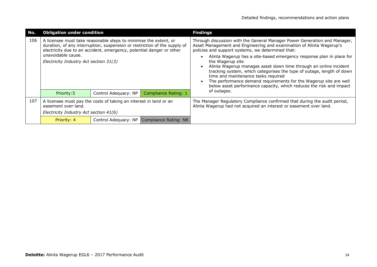| No. | <b>Obligation under condition</b>                                                                                                  |                                                                                                                                                   |                                            | <b>Findings</b>                                                                                                                                                                                                                                                                                                                                                                                                           |
|-----|------------------------------------------------------------------------------------------------------------------------------------|---------------------------------------------------------------------------------------------------------------------------------------------------|--------------------------------------------|---------------------------------------------------------------------------------------------------------------------------------------------------------------------------------------------------------------------------------------------------------------------------------------------------------------------------------------------------------------------------------------------------------------------------|
| 106 | A licensee must take reasonable steps to minimise the extent, or                                                                   | duration, of any interruption, suspension or restriction of the supply of<br>electricity due to an accident, emergency, potential danger or other |                                            | Through discussion with the General Manager Power Generation and Manager,<br>Asset Management and Engineering and examination of Alinta Wagerup's<br>policies and support systems, we determined that:                                                                                                                                                                                                                    |
|     | unavoidable cause.<br>Electricity Industry Act section 31(3)                                                                       |                                                                                                                                                   |                                            | Alinta Wagerup has a site-based emergency response plan in place for<br>the Wagerup site<br>Alinta Wagerup manages asset down time through an online incident<br>tracking system, which categorises the type of outage, length of down<br>time and maintenance tasks required<br>The performance demand requirements for the Wagerup site are well<br>below asset performance capacity, which reduces the risk and impact |
|     | Priority: 5                                                                                                                        | Control Adequacy: NP                                                                                                                              | Compliance Rating: 1                       | of outages.                                                                                                                                                                                                                                                                                                                                                                                                               |
| 107 | A licensee must pay the costs of taking an interest in land or an<br>easement over land.<br>Electricity Industry Act section 41(6) |                                                                                                                                                   |                                            | The Manager Regulatory Compliance confirmed that during the audit period,<br>Alinta Wagerup had not acquired an interest or easement over land.                                                                                                                                                                                                                                                                           |
|     | Priority: 4                                                                                                                        |                                                                                                                                                   | Control Adequacy: NP Compliance Rating: NR |                                                                                                                                                                                                                                                                                                                                                                                                                           |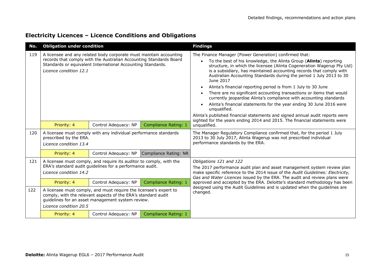|  | <b>Electricity Licences - Licence Conditions and Obligations</b> |  |  |
|--|------------------------------------------------------------------|--|--|
|--|------------------------------------------------------------------|--|--|

| No. | <b>Obligation under condition</b>                                                                                                                                                                                                                                                                                              |                      |                       | <b>Findings</b>                                                                                                                                                                                                                                                                                                                                                                                                                                                                                                                                                                                                                                                                                                                                                                                                                                  |  |
|-----|--------------------------------------------------------------------------------------------------------------------------------------------------------------------------------------------------------------------------------------------------------------------------------------------------------------------------------|----------------------|-----------------------|--------------------------------------------------------------------------------------------------------------------------------------------------------------------------------------------------------------------------------------------------------------------------------------------------------------------------------------------------------------------------------------------------------------------------------------------------------------------------------------------------------------------------------------------------------------------------------------------------------------------------------------------------------------------------------------------------------------------------------------------------------------------------------------------------------------------------------------------------|--|
| 119 | A licensee and any related body corporate must maintain accounting<br>records that comply with the Australian Accounting Standards Board<br>Standards or equivalent International Accounting Standards.<br>Licence condition 12.1                                                                                              |                      |                       | The Finance Manager (Power Generation) confirmed that:<br>To the best of his knowledge, the Alinta Group (Alinta) reporting<br>$\bullet$<br>structure, in which the licensee (Alinta Cogeneration Wagerup Pty Ltd)<br>is a subsidiary, has maintained accounting records that comply with<br>Australian Accounting Standards during the period 1 July 2013 to 30<br>June 2017<br>Alinta's financial reporting period is from 1 July to 30 June<br>There are no significant accounting transactions or items that would<br>currently jeopardise Alinta's compliance with accounting standards<br>Alinta's financial statements for the year ending 30 June 2016 were<br>unqualified.<br>Alinta's published financial statements and signed annual audit reports were<br>sighted for the years ending 2014 and 2015. The financial statements were |  |
|     | Priority: 4                                                                                                                                                                                                                                                                                                                    | Control Adequacy: NP | Compliance Rating: 1  | unqualified.                                                                                                                                                                                                                                                                                                                                                                                                                                                                                                                                                                                                                                                                                                                                                                                                                                     |  |
| 120 | A licensee must comply with any individual performance standards<br>prescribed by the ERA.<br>Licence condition 13.4                                                                                                                                                                                                           |                      |                       | The Manager Regulatory Compliance confirmed that, for the period 1 July<br>2013 to 30 July 2017, Alinta Wagerup was not prescribed individual<br>performance standards by the ERA.                                                                                                                                                                                                                                                                                                                                                                                                                                                                                                                                                                                                                                                               |  |
|     | Priority: 4                                                                                                                                                                                                                                                                                                                    | Control Adequacy: NP | Compliance Rating: NR |                                                                                                                                                                                                                                                                                                                                                                                                                                                                                                                                                                                                                                                                                                                                                                                                                                                  |  |
| 121 | A licensee must comply, and require its auditor to comply, with the<br>ERA's standard audit guidelines for a performance audit.<br>Licence condition 14.2                                                                                                                                                                      |                      | Compliance Rating: 1  | Obligations 121 and 122<br>The 2017 performance audit plan and asset management system review plan<br>make specific reference to the 2014 issue of the Audit Guidelines: Electricity,<br>Gas and Water Licences issued by the ERA. The audit and review plans were<br>approved and accepted by the ERA. Deloitte's standard methodology has been                                                                                                                                                                                                                                                                                                                                                                                                                                                                                                 |  |
| 122 | Control Adequacy: NP<br>Priority: 4<br>A licensee must comply, and must require the licensee's expert to<br>comply, with the relevant aspects of the ERA's standard audit<br>guidelines for an asset management system review.<br>Licence condition 20.5<br>Priority: 4<br>Control Adequacy: NP<br><b>Compliance Rating: 1</b> |                      |                       | designed using the Audit Guidelines and is updated when the guidelines are<br>changed.                                                                                                                                                                                                                                                                                                                                                                                                                                                                                                                                                                                                                                                                                                                                                           |  |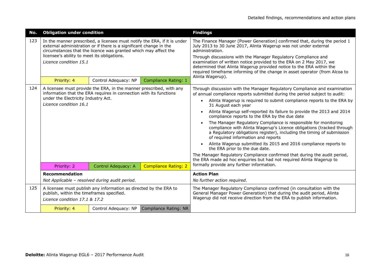| No. | <b>Obligation under condition</b>                                                                                                                                                                                                                                                          |                      |                             | <b>Findings</b>                                                                                                                                                                                                                                                                                                                                                                                                                                                                                                                                                                                                                                                                                                                                                                                                                                                                                           |
|-----|--------------------------------------------------------------------------------------------------------------------------------------------------------------------------------------------------------------------------------------------------------------------------------------------|----------------------|-----------------------------|-----------------------------------------------------------------------------------------------------------------------------------------------------------------------------------------------------------------------------------------------------------------------------------------------------------------------------------------------------------------------------------------------------------------------------------------------------------------------------------------------------------------------------------------------------------------------------------------------------------------------------------------------------------------------------------------------------------------------------------------------------------------------------------------------------------------------------------------------------------------------------------------------------------|
| 123 | In the manner prescribed, a licensee must notify the ERA, if it is under<br>external administration or if there is a significant change in the<br>circumstances that the licence was granted which may affect the<br>licensee's ability to meet its obligations.<br>Licence condition 15.1 |                      |                             | The Finance Manager (Power Generation) confirmed that, during the period 1<br>July 2013 to 30 June 2017, Alinta Wagerup was not under external<br>administration.<br>Through discussions with the Manager Regulatory Compliance and<br>examination of written notice provided to the ERA on 2 May 2017, we<br>determined that Alinta Wagerup provided notice to the ERA within the<br>required timeframe informing of the change in asset operator (from Alcoa to<br>Alinta Wagerup).                                                                                                                                                                                                                                                                                                                                                                                                                     |
|     | Priority: 4                                                                                                                                                                                                                                                                                | Control Adequacy: NP | <b>Compliance Rating: 1</b> |                                                                                                                                                                                                                                                                                                                                                                                                                                                                                                                                                                                                                                                                                                                                                                                                                                                                                                           |
| 124 | A licensee must provide the ERA, in the manner prescribed, with any<br>information that the ERA requires in connection with its functions<br>under the Electricity Industry Act.<br>Licence condition 16.1                                                                                 |                      |                             | Through discussion with the Manager Regulatory Compliance and examination<br>of annual compliance reports submitted during the period subject to audit:<br>Alinta Wagerup is required to submit compliance reports to the ERA by<br>31 August each year<br>Alinta Wagerup self-reported its failure to provide the 2013 and 2014<br>compliance reports to the ERA by the due date<br>The Manager Regulatory Compliance is responsible for monitoring<br>compliance with Alinta Wagerup's Licence obligations (tracked through<br>a Regulatory obligations register), including the timing of submission<br>of required information and reports<br>Alinta Wagerup submitted its 2015 and 2016 compliance reports to<br>the ERA prior to the due date.<br>The Manager Regulatory Compliance confirmed that during the audit period,<br>the ERA made ad hoc enquiries but had not required Alinta Wagerup to |
|     | Priority: 2                                                                                                                                                                                                                                                                                | Control Adequacy: A  | <b>Compliance Rating: 2</b> | formally provide any further information.                                                                                                                                                                                                                                                                                                                                                                                                                                                                                                                                                                                                                                                                                                                                                                                                                                                                 |
|     | <b>Recommendation</b>                                                                                                                                                                                                                                                                      |                      |                             | <b>Action Plan</b>                                                                                                                                                                                                                                                                                                                                                                                                                                                                                                                                                                                                                                                                                                                                                                                                                                                                                        |
|     | Not Applicable - resolved during audit period.                                                                                                                                                                                                                                             |                      |                             | No further action required.                                                                                                                                                                                                                                                                                                                                                                                                                                                                                                                                                                                                                                                                                                                                                                                                                                                                               |
| 125 | A licensee must publish any information as directed by the ERA to<br>publish, within the timeframes specified.<br>Licence condition 17.1 & 17.2                                                                                                                                            |                      |                             | The Manager Regulatory Compliance confirmed (in consultation with the<br>General Manager Power Generation) that during the audit period, Alinta<br>Wagerup did not receive direction from the ERA to publish information.                                                                                                                                                                                                                                                                                                                                                                                                                                                                                                                                                                                                                                                                                 |
|     | Priority: 4                                                                                                                                                                                                                                                                                | Control Adequacy: NP | Compliance Rating: NR       |                                                                                                                                                                                                                                                                                                                                                                                                                                                                                                                                                                                                                                                                                                                                                                                                                                                                                                           |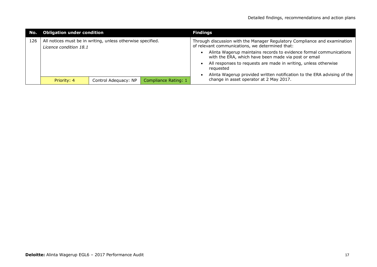| $\Box$ No. $\Box$ | <b>Obligation under condition</b>                                                     |                      |                      | <b>Findings</b>                                                                                                              |
|-------------------|---------------------------------------------------------------------------------------|----------------------|----------------------|------------------------------------------------------------------------------------------------------------------------------|
| 126               | All notices must be in writing, unless otherwise specified.<br>Licence condition 18.1 |                      |                      | Through discussion with the Manager Regulatory Compliance and examination<br>of relevant communications, we determined that: |
|                   |                                                                                       |                      |                      | Alinta Wagerup maintains records to evidence formal communications<br>with the ERA, which have been made via post or email   |
|                   |                                                                                       |                      |                      | All responses to requests are made in writing, unless otherwise<br>requested                                                 |
|                   |                                                                                       |                      |                      | Alinta Wagerup provided written notification to the ERA advising of the                                                      |
|                   | Priority: 4                                                                           | Control Adequacy: NP | Compliance Rating: 1 | change in asset operator at 2 May 2017.                                                                                      |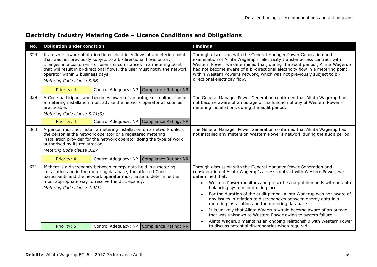| No. | <b>Obligation under condition</b>                                                                                                                                                                                                                                                                                                                                    |  |                                            | <b>Findings</b>                                                                                                                                                                                                                                                                                                                                                                                                                                                                                                                                                                                                                                                                       |
|-----|----------------------------------------------------------------------------------------------------------------------------------------------------------------------------------------------------------------------------------------------------------------------------------------------------------------------------------------------------------------------|--|--------------------------------------------|---------------------------------------------------------------------------------------------------------------------------------------------------------------------------------------------------------------------------------------------------------------------------------------------------------------------------------------------------------------------------------------------------------------------------------------------------------------------------------------------------------------------------------------------------------------------------------------------------------------------------------------------------------------------------------------|
| 324 | If a user is aware of bi-directional electricity flows at a metering point<br>that was not previously subject to a bi-directional flows or any<br>changes in a customer's or user's circumstances in a metering point<br>that will result in bi-directional flows, the user must notify the network<br>operator within 2 business days.<br>Metering Code clause 3.3B |  |                                            | Through discussion with the General Manager Power Generation and<br>examination of Alinta Wagerup's electricity transfer access contract with<br>Western Power, we determined that, during the audit period, Alinta Wagerup<br>had not become aware of a bi-directional electricity flow in a metering point<br>within Western Power's network, which was not previously subject to bi-<br>directional electricity flow.                                                                                                                                                                                                                                                              |
|     | Priority: 4                                                                                                                                                                                                                                                                                                                                                          |  | Control Adequacy: NP Compliance Rating: NR |                                                                                                                                                                                                                                                                                                                                                                                                                                                                                                                                                                                                                                                                                       |
| 339 | A Code participant who becomes aware of an outage or malfunction of<br>a metering installation must advise the network operator as soon as<br>practicable.<br>Metering Code clause 3.11(3)                                                                                                                                                                           |  |                                            | The General Manager Power Generation confirmed that Alinta Wagerup had<br>not become aware of an outage or malfunction of any of Western Power's<br>metering installations during the audit period.                                                                                                                                                                                                                                                                                                                                                                                                                                                                                   |
|     | Priority: 4                                                                                                                                                                                                                                                                                                                                                          |  | Control Adequacy: NP Compliance Rating: NR |                                                                                                                                                                                                                                                                                                                                                                                                                                                                                                                                                                                                                                                                                       |
| 364 | A person must not install a metering installation on a network unless<br>the person is the network operator or a registered metering<br>installation provider for the network operator doing the type of work<br>authorised by its registration.<br>Metering Code clause 3.27                                                                                        |  |                                            | The General Manager Power Generation confirmed that Alinta Wagerup had<br>not installed any meters on Western Power's network during the audit period.                                                                                                                                                                                                                                                                                                                                                                                                                                                                                                                                |
|     | Priority: 4                                                                                                                                                                                                                                                                                                                                                          |  | Control Adequacy: NP Compliance Rating: NR |                                                                                                                                                                                                                                                                                                                                                                                                                                                                                                                                                                                                                                                                                       |
| 371 | If there is a discrepancy between energy data held in a metering<br>installation and in the metering database, the affected Code<br>participants and the network operator must liaise to determine the<br>most appropriate way to resolve the discrepancy.<br>Metering Code clause 4.4(1)                                                                            |  |                                            | Through discussion with the General Manager Power Generation and<br>consideration of Alinta Wagerup's access contract with Western Power, we<br>determined that:<br>Western Power monitors and prescribes output demands with an auto-<br>balancing system control in place<br>For the duration of the audit period, Alinta Wagerup was not aware of<br>any issues in relation to discrepancies between energy data in a<br>metering installation and the metering database<br>It is unlikely that Alinta Wagerup would become aware of an outage<br>that was unknown to Western Power owing to system failure<br>Alinta Wagerup maintains an ongoing relationship with Western Power |
|     | Priority: 5                                                                                                                                                                                                                                                                                                                                                          |  | Control Adequacy: NP Compliance Rating: NR | to discuss potential discrepancies when required.                                                                                                                                                                                                                                                                                                                                                                                                                                                                                                                                                                                                                                     |

#### **Electricity Industry Metering Code – Licence Conditions and Obligations**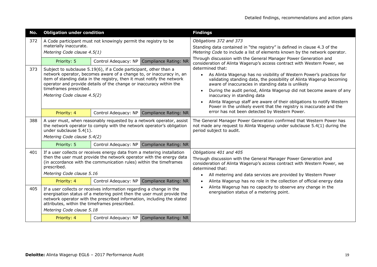| No. | <b>Obligation under condition</b>                                                                                                                                                                                                                                                                                                                   |                                                                 |                                            | <b>Findings</b>                                                                                                                                                                                                                                                                                                                                                                                                                                                                           |  |
|-----|-----------------------------------------------------------------------------------------------------------------------------------------------------------------------------------------------------------------------------------------------------------------------------------------------------------------------------------------------------|-----------------------------------------------------------------|--------------------------------------------|-------------------------------------------------------------------------------------------------------------------------------------------------------------------------------------------------------------------------------------------------------------------------------------------------------------------------------------------------------------------------------------------------------------------------------------------------------------------------------------------|--|
| 372 | materially inaccurate.<br>Metering Code clause 4.5(1)                                                                                                                                                                                                                                                                                               | A Code participant must not knowingly permit the registry to be |                                            | Obligations 372 and 373<br>Standing data contained in "the registry" is defined in clause 4.3 of the<br>Metering Code to include a list of elements known by the network operator.                                                                                                                                                                                                                                                                                                        |  |
|     | Priority: 5                                                                                                                                                                                                                                                                                                                                         | Control Adequacy: NP                                            | <b>Compliance Rating: NR</b>               | Through discussion with the General Manager Power Generation and<br>consideration of Alinta Wagerup's access contract with Western Power, we                                                                                                                                                                                                                                                                                                                                              |  |
| 373 | Subject to subclause 5.19(6), if a Code participant, other than a<br>network operator, becomes aware of a change to, or inaccuracy in, an<br>item of standing data in the registry, then it must notify the network<br>operator and provide details of the change or inaccuracy within the<br>timeframes prescribed.<br>Metering Code clause 4.5(2) |                                                                 |                                            | determined that:<br>As Alinta Wagerup has no visibility of Western Power's practices for<br>$\bullet$<br>validating standing data, the possibility of Alinta Wagerup becoming<br>aware of inaccuracies in standing data is unlikely<br>During the audit period, Alinta Wagerup did not become aware of any<br>inaccuracy in standing data<br>Alinta Wagerup staff are aware of their obligations to notify Western<br>Power in the unlikely event that the registry is inaccurate and the |  |
|     | Priority: 4                                                                                                                                                                                                                                                                                                                                         | Control Adequacy: NP                                            | Compliance Rating: NR                      | error has not been detected by Western Power.                                                                                                                                                                                                                                                                                                                                                                                                                                             |  |
| 388 | A user must, when reasonably requested by a network operator, assist<br>the network operator to comply with the network operator's obligation<br>under subclause 5.4(1).<br>Metering Code clause 5.4(2)                                                                                                                                             |                                                                 |                                            | The General Manager Power Generation confirmed that Western Power has<br>not made any request to Alinta Wagerup under subclause 5.4(1) during the<br>period subject to audit.                                                                                                                                                                                                                                                                                                             |  |
|     | Priority: 5                                                                                                                                                                                                                                                                                                                                         |                                                                 | Control Adequacy: NP Compliance Rating: NR |                                                                                                                                                                                                                                                                                                                                                                                                                                                                                           |  |
| 401 | If a user collects or receives energy data from a metering installation<br>then the user must provide the network operator with the energy data<br>(in accordance with the communication rules) within the timeframes<br>prescribed.<br>Metering Code clause 5.16                                                                                   |                                                                 |                                            | Obligations 401 and 405<br>Through discussion with the General Manager Power Generation and<br>consideration of Alinta Wagerup's access contract with Western Power, we<br>determined that:<br>All metering and data services are provided by Western Power<br>$\bullet$                                                                                                                                                                                                                  |  |
|     | Priority: 4                                                                                                                                                                                                                                                                                                                                         |                                                                 | Control Adequacy: NP Compliance Rating: NR | Alinta Wagerup has no role in the collection of official energy data                                                                                                                                                                                                                                                                                                                                                                                                                      |  |
| 405 | If a user collects or receives information regarding a change in the<br>energisation status of a metering point then the user must provide the<br>network operator with the prescribed information, including the stated<br>attributes, within the timeframes prescribed.<br>Metering Code clause 5.18                                              |                                                                 |                                            | Alinta Wagerup has no capacity to observe any change in the<br>energisation status of a metering point.                                                                                                                                                                                                                                                                                                                                                                                   |  |
|     | Priority: 4                                                                                                                                                                                                                                                                                                                                         |                                                                 | Control Adequacy: NP Compliance Rating: NR |                                                                                                                                                                                                                                                                                                                                                                                                                                                                                           |  |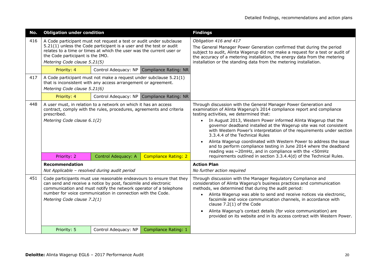| No. | <b>Obligation under condition</b>                                                                                                                                                                                                                                                                          |                      |                       | <b>Findings</b>                                                                                                                                                                                                                                                                                                                                                                                                                                                                                                                                                                                                                                          |
|-----|------------------------------------------------------------------------------------------------------------------------------------------------------------------------------------------------------------------------------------------------------------------------------------------------------------|----------------------|-----------------------|----------------------------------------------------------------------------------------------------------------------------------------------------------------------------------------------------------------------------------------------------------------------------------------------------------------------------------------------------------------------------------------------------------------------------------------------------------------------------------------------------------------------------------------------------------------------------------------------------------------------------------------------------------|
| 416 | A Code participant must not request a test or audit under subclause<br>5.21(1) unless the Code participant is a user and the test or audit<br>relates to a time or times at which the user was the current user or<br>the Code participant is the IMO.<br>Metering Code clause 5.21(5)                     |                      |                       | Obligation 416 and 417<br>The General Manager Power Generation confirmed that during the period<br>subject to audit, Alinta Wagerup did not make a request for a test or audit of<br>the accuracy of a metering installation, the energy data from the metering<br>installation or the standing data from the metering installation.                                                                                                                                                                                                                                                                                                                     |
|     | Priority: 4                                                                                                                                                                                                                                                                                                | Control Adequacy: NP | Compliance Rating: NR |                                                                                                                                                                                                                                                                                                                                                                                                                                                                                                                                                                                                                                                          |
| 417 | A Code participant must not make a request under subclause 5.21(1)<br>that is inconsistent with any access arrangement or agreement.<br>Metering Code clause 5.21(6)                                                                                                                                       |                      |                       |                                                                                                                                                                                                                                                                                                                                                                                                                                                                                                                                                                                                                                                          |
|     | Priority: 4                                                                                                                                                                                                                                                                                                | Control Adequacy: NP | Compliance Rating: NR |                                                                                                                                                                                                                                                                                                                                                                                                                                                                                                                                                                                                                                                          |
| 448 | A user must, in relation to a network on which it has an access<br>contract, comply with the rules, procedures, agreements and criteria<br>prescribed.<br>Metering Code clause 6.1(2)                                                                                                                      |                      |                       | Through discussion with the General Manager Power Generation and<br>examination of Alinta Wagerup's 2014 compliance report and compliance<br>testing activities, we determined that:<br>In August 2013, Western Power informed Alinta Wagerup that the<br>$\bullet$<br>governor deadband installed at the Wagerup site was not consistent<br>with Western Power's interpretation of the requirements under section<br>3.3.4.4 of the Technical Rules<br>Alinta Wagerup coordinated with Western Power to address the issue<br>and to perform compliance testing in June 2014 where the deadband<br>reading was ~20mHz, and in compliance with the <50mHz |
|     | Priority: 2                                                                                                                                                                                                                                                                                                | Control Adequacy: A  | Compliance Rating: 2  | requirements outlined in section 3.3.4.4(d) of the Technical Rules.                                                                                                                                                                                                                                                                                                                                                                                                                                                                                                                                                                                      |
|     | <b>Recommendation</b><br>Not Applicable - resolved during audit period                                                                                                                                                                                                                                     |                      |                       | <b>Action Plan</b><br>No further action required                                                                                                                                                                                                                                                                                                                                                                                                                                                                                                                                                                                                         |
| 451 | Code participants must use reasonable endeavours to ensure that they<br>can send and receive a notice by post, facsimile and electronic<br>communication and must notify the network operator of a telephone<br>number for voice communication in connection with the Code.<br>Metering Code clause 7.2(1) |                      |                       | Through discussion with the Manager Regulatory Compliance and<br>consideration of Alinta Wagerup's business practices and communication<br>methods, we determined that during the audit period:<br>Alinta Wagerup was able to send and receive notices via electronic,<br>$\bullet$<br>facsimile and voice communication channels, in accordance with<br>clause 7.2(1) of the Code<br>Alinta Wagerup's contact details (for voice communication) are<br>provided on its website and in its access contract with Western Power.                                                                                                                           |
|     | Priority: 5                                                                                                                                                                                                                                                                                                | Control Adequacy: NP | Compliance Rating: 1  |                                                                                                                                                                                                                                                                                                                                                                                                                                                                                                                                                                                                                                                          |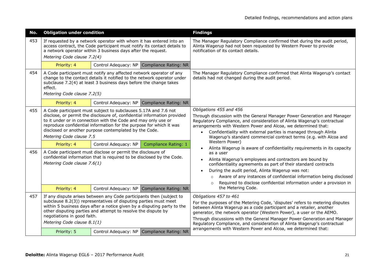| No.        | <b>Obligation under condition</b>                                                                                                                                                                                                                                                                                                                                                                  |                                                                                                                                                                                                                                                                                                                                                                                                                                                                                                                  |                                            | <b>Findings</b>                                                                                                                                                                                                                                                                                                                                                                                                                                                                                                                                                                                                                                                                                                                                                                                                                                                     |
|------------|----------------------------------------------------------------------------------------------------------------------------------------------------------------------------------------------------------------------------------------------------------------------------------------------------------------------------------------------------------------------------------------------------|------------------------------------------------------------------------------------------------------------------------------------------------------------------------------------------------------------------------------------------------------------------------------------------------------------------------------------------------------------------------------------------------------------------------------------------------------------------------------------------------------------------|--------------------------------------------|---------------------------------------------------------------------------------------------------------------------------------------------------------------------------------------------------------------------------------------------------------------------------------------------------------------------------------------------------------------------------------------------------------------------------------------------------------------------------------------------------------------------------------------------------------------------------------------------------------------------------------------------------------------------------------------------------------------------------------------------------------------------------------------------------------------------------------------------------------------------|
| 453        | If requested by a network operator with whom it has entered into an<br>access contract, the Code participant must notify its contact details to<br>a network operator within 3 business days after the request.<br>Metering Code clause 7.2(4)                                                                                                                                                     |                                                                                                                                                                                                                                                                                                                                                                                                                                                                                                                  |                                            | The Manager Regulatory Compliance confirmed that during the audit period,<br>Alinta Wagerup had not been requested by Western Power to provide<br>notification of its contact details.                                                                                                                                                                                                                                                                                                                                                                                                                                                                                                                                                                                                                                                                              |
|            | Priority: 4                                                                                                                                                                                                                                                                                                                                                                                        |                                                                                                                                                                                                                                                                                                                                                                                                                                                                                                                  | Control Adequacy: NP Compliance Rating: NR |                                                                                                                                                                                                                                                                                                                                                                                                                                                                                                                                                                                                                                                                                                                                                                                                                                                                     |
| 454        | A Code participant must notify any affected network operator of any<br>change to the contact details it notified to the network operator under<br>subclause 7.2(4) at least 3 business days before the change takes<br>effect.<br>Metering Code clause 7.2(5)                                                                                                                                      |                                                                                                                                                                                                                                                                                                                                                                                                                                                                                                                  |                                            | The Manager Regulatory Compliance confirmed that Alinta Wagerup's contact<br>details had not changed during the audit period.                                                                                                                                                                                                                                                                                                                                                                                                                                                                                                                                                                                                                                                                                                                                       |
|            | Priority: 4                                                                                                                                                                                                                                                                                                                                                                                        | Control Adequacy: NP                                                                                                                                                                                                                                                                                                                                                                                                                                                                                             | Compliance Rating: NR                      |                                                                                                                                                                                                                                                                                                                                                                                                                                                                                                                                                                                                                                                                                                                                                                                                                                                                     |
| 455<br>456 | Metering Code clause 7.5<br>Priority: 4<br>Metering Code clause 7.6(1)                                                                                                                                                                                                                                                                                                                             | A Code participant must subject to subclauses 5.17A and 7.6 not<br>disclose, or permit the disclosure of, confidential information provided<br>to it under or in connection with the Code and may only use or<br>reproduce confidential information for the purpose for which it was<br>disclosed or another purpose contemplated by the Code.<br>Control Adequacy: NP<br>A Code participant must disclose or permit the disclosure of<br>confidential information that is required to be disclosed by the Code. | Compliance Rating: 1                       | Obligations 455 and 456<br>Through discussion with the General Manager Power Generation and Manager<br>Regulatory Compliance, and consideration of Alinta Wagerup's contractual<br>arrangements with Western Power and Alcoa, we determined that:<br>Confidentiality with external parties is managed through Alinta<br>$\bullet$<br>Wagerup's standard commercial contract terms (e.g. with Alcoa and<br>Western Power)<br>Alinta Wagerup is aware of confidentiality requirements in its capacity<br>as a user<br>Alinta Wagerup's employees and contractors are bound by<br>confidentiality agreements as part of their standard contracts<br>During the audit period, Alinta Wagerup was not:<br>Aware of any instances of confidential information being disclosed<br>$\circ$<br>Required to disclose confidential information under a provision in<br>$\circ$ |
|            | Priority: 4                                                                                                                                                                                                                                                                                                                                                                                        | Control Adequacy: NP                                                                                                                                                                                                                                                                                                                                                                                                                                                                                             | Compliance Rating: NR                      | the Metering Code.                                                                                                                                                                                                                                                                                                                                                                                                                                                                                                                                                                                                                                                                                                                                                                                                                                                  |
| 457        | If any dispute arises between any Code participants then (subject to<br>subclause 8.2(3)) representatives of disputing parties must meet<br>within 5 business days after a notice given by a disputing party to the<br>other disputing parties and attempt to resolve the dispute by<br>negotiations in good faith.<br>Metering Code clause 8.1(1)<br>Control Adequacy: NP   Compliance Rating: NR |                                                                                                                                                                                                                                                                                                                                                                                                                                                                                                                  |                                            | Obligations 457 to 461<br>For the purposes of the Metering Code, 'disputes' refers to metering disputes<br>between Alinta Wagerup as a code participant and a retailer, another<br>generator, the network operator (Western Power), a user or the AEMO.<br>Through discussions with the General Manager Power Generation and Manager<br>Regulatory Compliance, and consideration of Alinta Wagerup's contractual<br>arrangements with Western Power and Alcoa, we determined that:                                                                                                                                                                                                                                                                                                                                                                                  |
|            | Priority: 5                                                                                                                                                                                                                                                                                                                                                                                        |                                                                                                                                                                                                                                                                                                                                                                                                                                                                                                                  |                                            |                                                                                                                                                                                                                                                                                                                                                                                                                                                                                                                                                                                                                                                                                                                                                                                                                                                                     |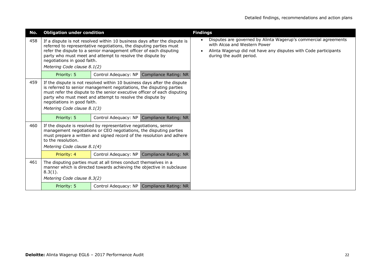| No. | <b>Obligation under condition</b>                                                                                                                                                                                                                                                                                                                       |  |                                              | <b>Findings</b>                                                                                                                                                                                |
|-----|---------------------------------------------------------------------------------------------------------------------------------------------------------------------------------------------------------------------------------------------------------------------------------------------------------------------------------------------------------|--|----------------------------------------------|------------------------------------------------------------------------------------------------------------------------------------------------------------------------------------------------|
| 458 | If a dispute is not resolved within 10 business days after the dispute is<br>referred to representative negotiations, the disputing parties must<br>refer the dispute to a senior management officer of each disputing<br>party who must meet and attempt to resolve the dispute by<br>negotiations in good faith.<br>Metering Code clause 8.1(2)       |  |                                              | Disputes are governed by Alinta Wagerup's commercial agreements<br>with Alcoa and Western Power<br>Alinta Wagerup did not have any disputes with Code participants<br>during the audit period. |
|     | Priority: 5                                                                                                                                                                                                                                                                                                                                             |  | Control Adequacy: NP Compliance Rating: NR   |                                                                                                                                                                                                |
| 459 | If the dispute is not resolved within 10 business days after the dispute<br>is referred to senior management negotiations, the disputing parties<br>must refer the dispute to the senior executive officer of each disputing<br>party who must meet and attempt to resolve the dispute by<br>negotiations in good faith.<br>Metering Code clause 8.1(3) |  |                                              |                                                                                                                                                                                                |
|     | Priority: 5                                                                                                                                                                                                                                                                                                                                             |  | Control Adequacy: NP   Compliance Rating: NR |                                                                                                                                                                                                |
| 460 | If the dispute is resolved by representative negotiations, senior<br>management negotiations or CEO negotiations, the disputing parties<br>must prepare a written and signed record of the resolution and adhere<br>to the resolution.<br>Metering Code clause 8.1(4)                                                                                   |  |                                              |                                                                                                                                                                                                |
|     | Priority: 4                                                                                                                                                                                                                                                                                                                                             |  | Control Adequacy: NP Compliance Rating: NR   |                                                                                                                                                                                                |
| 461 | The disputing parties must at all times conduct themselves in a<br>manner which is directed towards achieving the objective in subclause<br>$8.3(1)$ .<br>Metering Code clause 8.3(2)                                                                                                                                                                   |  |                                              |                                                                                                                                                                                                |
|     | Priority: 5                                                                                                                                                                                                                                                                                                                                             |  | Control Adequacy: NP Compliance Rating: NR   |                                                                                                                                                                                                |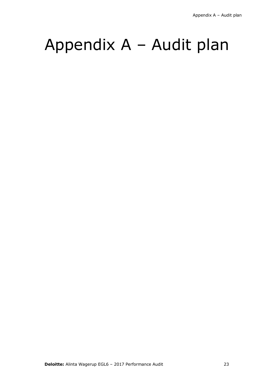## Appendix A – Audit plan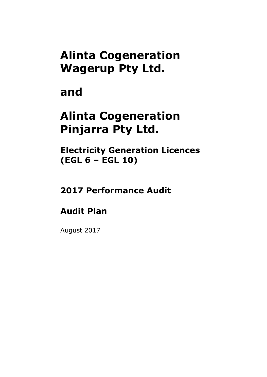### **Alinta Cogeneration Wagerup Pty Ltd.**

### **and**

### **Alinta Cogeneration Pinjarra Pty Ltd.**

**Electricity Generation Licences (EGL 6 – EGL 10)**

### **2017 Performance Audit**

### **Audit Plan**

August 2017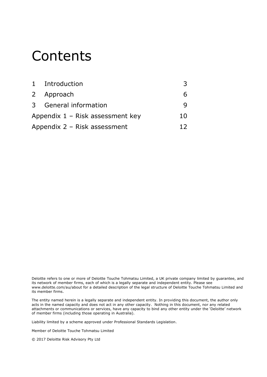### **Contents**

| 1 Introduction                     |    |
|------------------------------------|----|
| 2 Approach                         |    |
| 3 General information              |    |
| Appendix $1 -$ Risk assessment key | 10 |
| Appendix $2 -$ Risk assessment     |    |

Deloitte refers to one or more of Deloitte Touche Tohmatsu Limited, a UK private company limited by guarantee, and its network of member firms, each of which is a legally separate and independent entity. Please see www.deloitte.com/au/about for a detailed description of the legal structure of Deloitte Touche Tohmatsu Limited and its member firms.

The entity named herein is a legally separate and independent entity. In providing this document, the author only acts in the named capacity and does not act in any other capacity. Nothing in this document, nor any related attachments or communications or services, have any capacity to bind any other entity under the 'Deloitte' network of member firms (including those operating in Australia).

Liability limited by a scheme approved under Professional Standards Legislation.

Member of Deloitte Touche Tohmatsu Limited

© 2017 Deloitte Risk Advisory Pty Ltd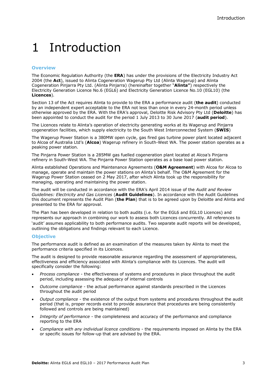### <span id="page-26-0"></span>1 Introduction

#### **Overview**

The Economic Regulation Authority (the **ERA**) has under the provisions of the Electricity Industry Act 2004 (the **Act**), issued to Alinta Cogeneration Wagerup Pty Ltd (Alinta Wagerup) and Alinta Cogeneration Pinjarra Pty Ltd. (Alinta Pinjarra) (hereinafter together "**Alinta"**) respectively the Electricity Generation Licence No.6 (EGL6) and Electricity Generation Licence No.10 (EGL10) (the **Licences**).

Section 13 of the Act requires Alinta to provide to the ERA a performance audit (**the audit**) conducted by an independent expert acceptable to the ERA not less than once in every 24-month period unless otherwise approved by the ERA. With the ERA's approval, Deloitte Risk Advisory Pty Ltd (**Deloitte**) has been appointed to conduct the audit for the period 1 July 2013 to 30 June 2017 (**audit period**).

The Licences relate to Alinta's operation of electricity generating works at its Wagerup and Pinjarra cogeneration facilities, which supply electricity to the South West Interconnected System (**SWIS**)

The Wagerup Power Station is a 380MW open cycle, gas fired gas turbine power plant located adjacent to Alcoa of Australia Ltd's (**Alcoa**) Wagerup refinery in South-West WA. The power station operates as a peaking power station.

The Pinjarra Power Station is a 285MW gas fuelled cogeneration plant located at Alcoa's Pinjarra refinery in South-West WA. The Pinjarra Power Station operates as a base load power station.

Alinta established Operations and Maintenance Agreements (**O&M Agreement**) with Alcoa for Alcoa to manage, operate and maintain the power stations on Alinta's behalf. The O&M Agreement for the Wagerup Power Station ceased on 2 May 2017, after which Alinta took up the responsibility for managing, operating and maintaining the power station.

The audit will be conducted in accordance with the ERA's April 2014 issue of the *Audit and Review Guidelines: Electricity and Gas Licences* (**Audit Guidelines**). In accordance with the Audit Guidelines this document represents the Audit Plan (**the Plan**) that is to be agreed upon by Deloitte and Alinta and presented to the ERA for approval.

The Plan has been developed in relation to both audits (i.e. for the EGL6 and EGL10 Licences) and represents our approach in combining our work to assess both Licences concurrently. All references to 'audit' assumes applicability to both performance audits. Two separate audit reports will be developed, outlining the obligations and findings relevant to each Licence.

#### **Objective**

The performance audit is defined as an examination of the measures taken by Alinta to meet the performance criteria specified in its Licences.

The audit is designed to provide reasonable assurance regarding the assessment of appropriateness, effectiveness and efficiency associated with Alinta's compliance with its Licences. The audit will specifically consider the following:

- *Process compliance* the effectiveness of systems and procedures in place throughout the audit period, including assessing the adequacy of internal controls
- *Outcome compliance* the actual performance against standards prescribed in the Licences throughout the audit period
- *Output compliance* the existence of the output from systems and procedures throughout the audit period (that is, proper records exist to provide assurance that procedures are being consistently followed and controls are being maintained)
- *Integrity of performance* the completeness and accuracy of the performance and compliance reporting to the ERA
- *Compliance with any individual licence conditions* the requirements imposed on Alinta by the ERA or specific issues for follow-up that are advised by the ERA.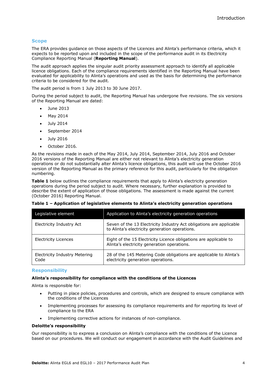#### **Scope**

The ERA provides guidance on those aspects of the Licences and Alinta's performance criteria, which it expects to be reported upon and included in the scope of the performance audit in its Electricity Compliance Reporting Manual (**Reporting Manual**).

The audit approach applies the singular audit priority assessment approach to identify all applicable licence obligations. Each of the compliance requirements identified in the Reporting Manual have been evaluated for applicability to Alinta's operations and used as the basis for determining the performance criteria to be considered for the audit.

The audit period is from 1 July 2013 to 30 June 2017.

During the period subject to audit, the Reporting Manual has undergone five revisions. The six versions of the Reporting Manual are dated:

- June 2013
- May 2014
- July 2014
- September 2014
- July 2016
- October 2016.

As the revisions made in each of the May 2014, July 2014, September 2014, July 2016 and October 2016 versions of the Reporting Manual are either not relevant to Alinta's electricity generation operations or do not substantially alter Alinta's licence obligations, this audit will use the October 2016 version of the Reporting Manual as the primary reference for this audit, particularly for the obligation numbering.

**Table 1** below outlines the compliance requirements that apply to Alinta's electricity generation operations during the period subject to audit. Where necessary, further explanation is provided to describe the extent of application of those obligations. The assessment is made against the current (October 2016) Reporting Manual.

| Table 1 - Application of legislative elements to Alinta's electricity generation operations |
|---------------------------------------------------------------------------------------------|
|---------------------------------------------------------------------------------------------|

| Legislative element                          | Application to Alinta's electricity generation operations                                                             |
|----------------------------------------------|-----------------------------------------------------------------------------------------------------------------------|
| Electricity Industry Act                     | Seven of the 13 Electricity Industry Act obligations are applicable<br>to Alinta's electricity generation operations. |
| <b>Electricity Licences</b>                  | Eight of the 15 Electricity Licence obligations are applicable to<br>Alinta's electricity generation operations.      |
| <b>Electricity Industry Metering</b><br>Code | 28 of the 145 Metering Code obligations are applicable to Alinta's<br>electricity generation operations.              |

#### **Responsibility**

#### **Alinta's responsibility for compliance with the conditions of the Licences**

Alinta is responsible for:

- Putting in place policies, procedures and controls, which are designed to ensure compliance with the conditions of the Licences
- Implementing processes for assessing its compliance requirements and for reporting its level of compliance to the ERA
- Implementing corrective actions for instances of non-compliance.

#### **Deloitte's responsibility**

Our responsibility is to express a conclusion on Alinta's compliance with the conditions of the Licence based on our procedures. We will conduct our engagement in accordance with the Audit Guidelines and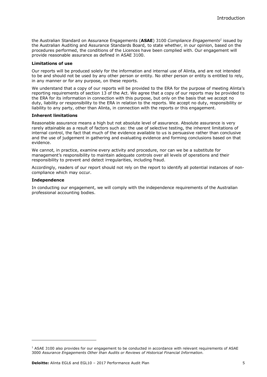the Australian Standard on Assurance Engagements (**ASAE**) 3100 *Compliance Engagements<sup>1</sup>* issued by the Australian Auditing and Assurance Standards Board*,* to state whether, in our opinion, based on the procedures performed, the conditions of the Licences have been complied with. Our engagement will provide reasonable assurance as defined in ASAE 3100.

#### **Limitations of use**

Our reports will be produced solely for the information and internal use of Alinta, and are not intended to be and should not be used by any other person or entity. No other person or entity is entitled to rely, in any manner or for any purpose, on these reports.

We understand that a copy of our reports will be provided to the ERA for the purpose of meeting Alinta's reporting requirements of section 13 of the Act. We agree that a copy of our reports may be provided to the ERA for its information in connection with this purpose, but only on the basis that we accept no duty, liability or responsibility to the ERA in relation to the reports. We accept no duty, responsibility or liability to any party, other than Alinta, in connection with the reports or this engagement.

#### **Inherent limitations**

Reasonable assurance means a high but not absolute level of assurance. Absolute assurance is very rarely attainable as a result of factors such as: the use of selective testing, the inherent limitations of internal control, the fact that much of the evidence available to us is persuasive rather than conclusive and the use of judgement in gathering and evaluating evidence and forming conclusions based on that evidence.

We cannot, in practice, examine every activity and procedure, nor can we be a substitute for management's responsibility to maintain adequate controls over all levels of operations and their responsibility to prevent and detect irregularities, including fraud.

Accordingly, readers of our report should not rely on the report to identify all potential instances of noncompliance which may occur.

#### **Independence**

-

In conducting our engagement, we will comply with the independence requirements of the Australian professional accounting bodies.

 $1$  ASAE 3100 also provides for our engagement to be conducted in accordance with relevant requirements of ASAE 3000 *Assurance Engagements Other than Audits or Reviews of Historical Financial Information.*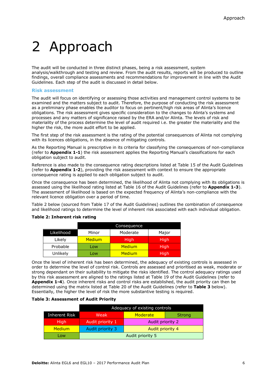## <span id="page-29-0"></span>2 Approach

The audit will be conducted in three distinct phases, being a risk assessment, system analysis/walkthrough and testing and review. From the audit results, reports will be produced to outline findings, overall compliance assessments and recommendations for improvement in line with the Audit Guidelines. Each step of the audit is discussed in detail below.

#### **Risk assessment**

The audit will focus on identifying or assessing those activities and management control systems to be examined and the matters subject to audit. Therefore, the purpose of conducting the risk assessment as a preliminary phase enables the auditor to focus on pertinent/high risk areas of Alinta's licence obligations. The risk assessment gives specific consideration to the changes to Alinta's systems and processes and any matters of significance raised by the ERA and/or Alinta. The levels of risk and materiality of the process determine the level of audit required i.e. the greater the materiality and the higher the risk, the more audit effort to be applied.

The first step of the risk assessment is the rating of the potential consequences of Alinta not complying with its licences obligations, in the absence of mitigating controls.

As the Reporting Manual is prescriptive in its criteria for classifying the consequences of non-compliance (refer to **Appendix 1-1**) the risk assessment applies the Reporting Manual's classifications for each obligation subject to audit.

Reference is also made to the consequence rating descriptions listed at Table 15 of the Audit Guidelines (refer to **Appendix 1-2**), providing the risk assessment with context to ensure the appropriate consequence rating is applied to each obligation subject to audit.

Once the consequence has been determined, the likelihood of Alinta not complying with its obligations is assessed using the likelihood rating listed at Table 16 of the Audit Guidelines (refer to **Appendix 1-3**). The assessment of likelihood is based on the expected frequency of Alinta's non-compliance with the relevant licence obligation over a period of time.

Table 2 below (sourced from Table 17 of the Audit Guidelines) outlines the combination of consequence and likelihood ratings to determine the level of inherent risk associated with each individual obligation.

|            |               | Consequence |             |
|------------|---------------|-------------|-------------|
| Likelihood | Minor         | Moderate    | Major       |
| Likely     | <b>Medium</b> | <b>High</b> | <b>High</b> |
| Probable   | Low           | Medium      | High        |
| Unlikely   | Low           | Medium      | High        |

#### **Table 2: Inherent risk rating**

Once the level of inherent risk has been determined, the adequacy of existing controls is assessed in order to determine the level of control risk. Controls are assessed and prioritised as weak, moderate or strong dependant on their suitability to mitigate the risks identified. The control adequacy ratings used by this risk assessment are aligned to the ratings listed at Table 19 of the Audit Guidelines (refer to **Appendix 1-4**). Once inherent risks and control risks are established, the audit priority can then be determined using the matrix listed at Table 20 of the Audit Guidelines (refer to **Table 3** below). Essentially, the higher the level of risk the more substantive testing is required.

#### **Table 3: Assessment of Audit Priority**

|               | Adequacy of existing controls |                  |               |
|---------------|-------------------------------|------------------|---------------|
| Inherent Risk | Weak                          | Moderate         | <b>Strong</b> |
| <b>High</b>   | Audit priority 1              | Audit priority 2 |               |
| <b>Medium</b> | Audit priority 3              | Audit priority 4 |               |
| Low           |                               | Audit priority 5 |               |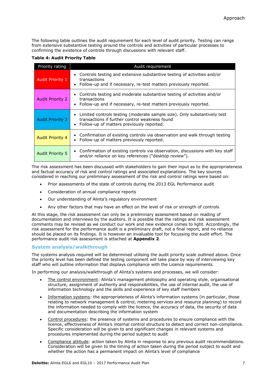The following table outlines the audit requirement for each level of audit priority. Testing can range from extensive substantive testing around the controls and activities of particular processes to confirming the existence of controls through discussions with relevant staff.

**Table 4: Audit Priority Table**

| Priority rating         | Audit requirement                                                                                                                                                           |
|-------------------------|-----------------------------------------------------------------------------------------------------------------------------------------------------------------------------|
| <b>Audit Priority 1</b> | • Controls testing and extensive substantive testing of activities and/or<br>transactions<br>• Follow-up and if necessary, re-test matters previously reported.             |
| <b>Audit Priority 2</b> | • Controls testing and moderate substantive testing of activities and/or<br>transactions<br>• Follow-up and if necessary, re-test matters previously reported.              |
| <b>Audit Priority 3</b> | • Limited controls testing (moderate sample size). Only substantively test<br>transactions if further control weakness found<br>• Follow-up of matters previously reported. |
| <b>Audit Priority 4</b> | • Confirmation of existing controls via observation and walk through testing<br>• Follow-up of matters previously reported.                                                 |
| <b>Audit Priority 5</b> | • Confirmation of existing controls via observation, discussions with key staff<br>and/or reliance on key references ("desktop review").                                    |

The risk assessment has been discussed with stakeholders to gain their input as to the appropriateness and factual accuracy of risk and control ratings and associated explanations. The key sources considered in reaching our preliminary assessment of the risk and control ratings were based on:

- Prior assessments of the state of controls during the 2013 EGL Performance audit
- Consideration of annual compliance reports
- Our understanding of Alinta's regulatory environment
- Any other factors that may have an effect on the level of risk or strength of controls.

At this stage, the risk assessment can only be a preliminary assessment based on reading of documentation and interviews by the auditors. It is possible that the ratings and risk assessment comments may be revised as we conduct our work and new evidence comes to light. Accordingly, the risk assessment for the performance audit is a preliminary draft, not a final report, and no reliance should be placed on its findings. It is however an invaluable tool for focussing the audit effort. The performance audit risk assessment is attached at **Appendix 2**.

#### **System analysis/walkthrough**

The systems analysis required will be determined utilising the audit priority scale outlined above. Once the priority level has been defined the testing component will take place by way of interviewing key staff who will outline information that displays compliance with the Licence requirements.

In performing our analysis/walkthrough of Alinta's systems and processes, we will consider:

- The control environment: Alinta's management philosophy and operating style, organisational structure, assignment of authority and responsibilities, the use of internal audit, the use of information technology and the skills and experience of key staff members
- Information systems: the appropriateness of Alinta's information systems (in particular, those relating to network management & control, metering services and resource planning) to record the information needed to comply with the licence, the accuracy of data, the security of data and documentation describing the information system
- Control procedures: the presence of systems and procedures to ensure compliance with the licence, effectiveness of Alinta's internal control structure to detect and correct non-compliance. Specific consideration will be given to and significant changes in relevant systems and procedures implemented during the period subject to audit
- Compliance attitude: action taken by Alinta in response to any previous audit recommendations. Consideration will be given to the timing of action taken during the period subject to audit and whether the action has a permanent impact on Alinta's level of compliance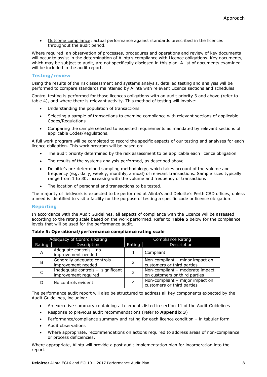Outcome compliance: actual performance against standards prescribed in the licences throughout the audit period.

Where required, an observation of processes, procedures and operations and review of key documents will occur to assist in the determination of Alinta's compliance with Licence obligations. Key documents, which may be subject to audit, are not specifically disclosed in this plan. A list of documents examined will be included in the audit report.

#### **Testing/review**

Using the results of the risk assessment and systems analysis, detailed testing and analysis will be performed to compare standards maintained by Alinta with relevant Licence sections and schedules.

Control testing is performed for those licences obligations with an audit priority 3 and above (refer to table 4), and where there is relevant activity. This method of testing will involve:

- Understanding the population of transactions
- Selecting a sample of transactions to examine compliance with relevant sections of applicable Codes/Regulations
- Comparing the sample selected to expected requirements as mandated by relevant sections of applicable Codes/Regulations.

A full work program will be completed to record the specific aspects of our testing and analyses for each licence obligation. This work program will be based on:

- The audit priority determined by the risk assessment to be applicable each licence obligation
- The results of the systems analysis performed, as described above
- Deloitte's pre-determined sampling methodology, which takes account of the volume and frequency (e.g. daily, weekly, monthly, annual) of relevant transactions. Sample sizes typically range from 1 to 30, increasing with the volume and frequency of transactions
- The location of personnel and transactions to be tested.

The majority of fieldwork is expected to be performed at Alinta's and Deloitte's Perth CBD offices, unless a need is identified to visit a facility for the purpose of testing a specific code or licence obligation.

#### **Reporting**

In accordance with the Audit Guidelines, all aspects of compliance with the Licence will be assessed according to the rating scale based on the work performed. Refer to **Table 5** below for the compliance levels that will be used for the performance audit.

| Adequacy of Controls Rating |                                                           | Compliance Rating |                                                                  |  |
|-----------------------------|-----------------------------------------------------------|-------------------|------------------------------------------------------------------|--|
| Rating                      | Description                                               | Rating            | <b>Description</b>                                               |  |
| A                           | Adequate controls - no<br>improvement needed              |                   | Compliant                                                        |  |
| B                           | Generally adequate controls -<br>improvement needed       | 2                 | Non-compliant - minor impact on<br>customers or third parties    |  |
|                             | Inadequate controls - significant<br>improvement required | 3                 | Non-compliant - moderate impact<br>on customers or third parties |  |
|                             | No controls evident                                       | 4                 | Non-compliant - major impact on<br>customers or third parties    |  |

| Table 5: Operational/performance compliance rating scale |  |  |  |
|----------------------------------------------------------|--|--|--|
|----------------------------------------------------------|--|--|--|

The performance audit report will also be structured to address all key components expected by the Audit Guidelines, including:

- An executive summary containing all elements listed in section 11 of the Audit Guidelines
- Response to previous audit recommendations (refer to **Appendix 3**)
- Performance/compliance summary and rating for each licence condition in tabular form
- Audit observations
- Where appropriate, recommendations on actions required to address areas of non-compliance or process deficiencies.

Where appropriate, Alinta will provide a post audit implementation plan for incorporation into the report.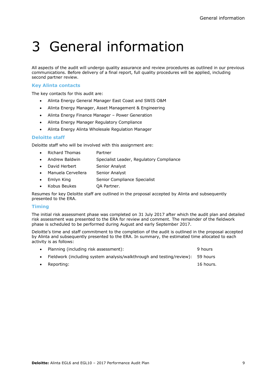## <span id="page-32-0"></span>3 General information

All aspects of the audit will undergo quality assurance and review procedures as outlined in our previous communications. Before delivery of a final report, full quality procedures will be applied, including second partner review.

#### **Key Alinta contacts**

The key contacts for this audit are:

- Alinta Energy General Manager East Coast and SWIS O&M
- Alinta Energy Manager, Asset Management & Engineering
- Alinta Energy Finance Manager Power Generation
- Alinta Energy Manager Regulatory Compliance
- Alinta Energy Alinta Wholesale Regulation Manager

#### **Deloitte staff**

Deloitte staff who will be involved with this assignment are:

- Richard Thomas Partner
- Andrew Baldwin Specialist Leader, Regulatory Compliance
- David Herbert Senior Analyst
- Manuela Cervellera Senior Analyst
- Emlyn King Senior Compliance Specialist
- Kobus Beukes **QA Partner.**

Resumes for key Deloitte staff are outlined in the proposal accepted by Alinta and subsequently presented to the ERA.

#### **Timing**

The initial risk assessment phase was completed on 31 July 2017 after which the audit plan and detailed risk assessment was presented to the ERA for review and comment. The remainder of the fieldwork phase is scheduled to be performed during August and early September 2017.

Deloitte's time and staff commitment to the completion of the audit is outlined in the proposal accepted by Alinta and subsequently presented to the ERA. In summary, the estimated time allocated to each activity is as follows:

|           | Planning (including risk assessment):                                          | 9 hours   |
|-----------|--------------------------------------------------------------------------------|-----------|
|           | Fieldwork (including system analysis/walkthrough and testing/review): 59 hours |           |
| $\bullet$ | Reporting:                                                                     | 16 hours. |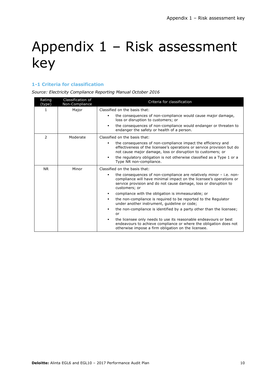## <span id="page-33-0"></span>Appendix 1 – Risk assessment key

#### **1-1 Criteria for classification**

*Source: Electricity Compliance Reporting Manual October 2016*

| Rating<br>(type) | Classification of<br>Non-Compliance | Criteria for classification                                                                                                                                                                                                            |
|------------------|-------------------------------------|----------------------------------------------------------------------------------------------------------------------------------------------------------------------------------------------------------------------------------------|
| $\mathbf{1}$     | Major                               | Classified on the basis that:<br>the consequences of non-compliance would cause major damage,<br>٠<br>loss or disruption to customers; or<br>the consequences of non-compliance would endanger or threaten to<br>٠                     |
| 2                | Moderate                            | endanger the safety or health of a person.<br>Classified on the basis that:                                                                                                                                                            |
|                  |                                     | the consequences of non-compliance impact the efficiency and<br>٠<br>effectiveness of the licensee's operations or service provision but do<br>not cause major damage, loss or disruption to customers; or                             |
|                  |                                     | the regulatory obligation is not otherwise classified as a Type 1 or a<br>٠<br>Type NR non-compliance.                                                                                                                                 |
| <b>NR</b>        | Minor                               | Classified on the basis that:                                                                                                                                                                                                          |
|                  |                                     | the consequences of non-compliance are relatively minor $-$ i.e. non-<br>٠<br>compliance will have minimal impact on the licensee's operations or<br>service provision and do not cause damage, loss or disruption to<br>customers; or |
|                  |                                     | compliance with the obligation is immeasurable; or                                                                                                                                                                                     |
|                  |                                     | the non-compliance is required to be reported to the Regulator<br>٠<br>under another instrument, quideline or code;                                                                                                                    |
|                  |                                     | the non-compliance is identified by a party other than the licensee;<br>or                                                                                                                                                             |
|                  |                                     | the licensee only needs to use its reasonable endeavours or best<br>٠<br>endeavours to achieve compliance or where the obligation does not<br>otherwise impose a firm obligation on the licensee.                                      |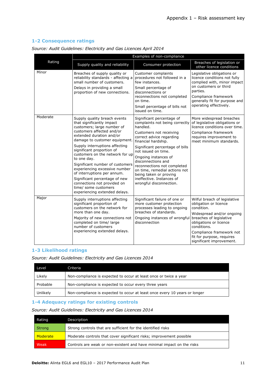#### **1-2 Consequence ratings**

|          | Examples of non-compliance                                                                                                                                                                                                                                                                                                                                                                                                                                                                                                     |                                                                                                                                                                                                                                                                                                                                                                                                                 |                                                                                                                                                                                                                                                           |
|----------|--------------------------------------------------------------------------------------------------------------------------------------------------------------------------------------------------------------------------------------------------------------------------------------------------------------------------------------------------------------------------------------------------------------------------------------------------------------------------------------------------------------------------------|-----------------------------------------------------------------------------------------------------------------------------------------------------------------------------------------------------------------------------------------------------------------------------------------------------------------------------------------------------------------------------------------------------------------|-----------------------------------------------------------------------------------------------------------------------------------------------------------------------------------------------------------------------------------------------------------|
| Rating   | Supply quality and reliability                                                                                                                                                                                                                                                                                                                                                                                                                                                                                                 | Consumer protection                                                                                                                                                                                                                                                                                                                                                                                             | Breaches of legislation or<br>other licence conditions                                                                                                                                                                                                    |
| Minor    | Breaches of supply quality or<br>reliability standards - affecting a<br>small number of customers.<br>Delays in providing a small<br>proportion of new connections.                                                                                                                                                                                                                                                                                                                                                            | <b>Customer complaints</b><br>procedures not followed in a<br>few instances.<br>Small percentage of<br>disconnections or<br>reconnections not completed<br>on time.<br>Small percentage of bills not<br>issued on time.                                                                                                                                                                                         | Legislative obligations or<br>licence conditions not fully<br>complied with, minor impact<br>on customers or third<br>parties.<br>Compliance framework<br>generally fit for purpose and<br>operating effectively.                                         |
| Moderate | Supply quality breach events<br>that significantly impact<br>customers; large number of<br>customers affected and/or<br>extended duration and/or<br>damage to customer equipment.<br>Supply interruptions affecting<br>significant proportion of<br>customers on the network for up<br>to one day.<br>Significant number of customers<br>experiencing excessive number<br>of interruptions per annum.<br>Significant percentage of new<br>connections not provided on<br>time/ some customers<br>experiencing extended delays. | Significant percentage of<br>complaints not being correctly<br>handled.<br>Customers not receiving<br>correct advice regarding<br>financial hardship.<br>Significant percentage of bills<br>not issued on time.<br>Ongoing instances of<br>disconnections and<br>reconnections not completed<br>on time, remedial actions not<br>being taken or proving<br>ineffective. Instances of<br>wrongful disconnection. | More widespread breaches<br>of legislative obligations or<br>licence conditions over time.<br>Compliance framework<br>requires improvement to<br>meet minimum standards.                                                                                  |
| Major    | Supply interruptions affecting<br>significant proportion of<br>customers on the network for<br>more than one day.<br>Majority of new connections not<br>completed on time/ large<br>number of customers<br>experiencing extended delays.                                                                                                                                                                                                                                                                                       | Significant failure of one or<br>more customer protection<br>processes leading to ongoing<br>breaches of standards.<br>Ongoing instances of wrongful<br>disconnection                                                                                                                                                                                                                                           | Wilful breach of legislative<br>obligation or licence<br>condition.<br>Widespread and/or ongoing<br>breaches of legislative<br>obligations or licence<br>conditions.<br>Compliance framework not<br>fit for purpose, requires<br>significant improvement. |

*Source: Audit Guidelines: Electricity and Gas Licences April 2014*

#### **1-3 Likelihood ratings**

*Source: Audit Guidelines: Electricity and Gas Licences 2014*

| Level    | Criteria                                                                   |
|----------|----------------------------------------------------------------------------|
| Likely   | Non-compliance is expected to occur at least once or twice a year          |
| Probable | Non-compliance is expected to occur every three years                      |
| Unlikely | Non-compliance is expected to occur at least once every 10 years or longer |

#### **1-4 Adequacy ratings for existing controls**

*Source: Audit Guidelines: Electricity and Gas Licences 2014*

| Rating   | Description                                                            |
|----------|------------------------------------------------------------------------|
| Strong   | Strong controls that are sufficient for the identified risks           |
| Moderate | Moderate controls that cover significant risks; improvement possible   |
| Weak     | Controls are weak or non-existent and have minimal impact on the risks |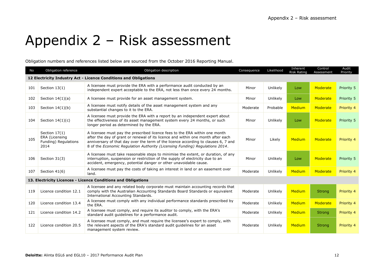## Appendix 2 – Risk assessment

Obligation numbers and references listed below are sourced from the October 2016 Reporting Manual.

<span id="page-35-0"></span>

| No                                                               | Obligation reference                                              | Obligation description                                                                                                                                                                                                                                                                                                                | Consequence          | Likelihood | Inherent<br><b>Risk Rating</b> | Control<br>Assessment | Audit<br>Priority |
|------------------------------------------------------------------|-------------------------------------------------------------------|---------------------------------------------------------------------------------------------------------------------------------------------------------------------------------------------------------------------------------------------------------------------------------------------------------------------------------------|----------------------|------------|--------------------------------|-----------------------|-------------------|
| 12 Electricity Industry Act - Licence Conditions and Obligations |                                                                   |                                                                                                                                                                                                                                                                                                                                       |                      |            |                                |                       |                   |
| 101                                                              | Section $13(1)$                                                   | A licensee must provide the ERA with a performance audit conducted by an<br>independent expert acceptable to the ERA, not less than once every 24 months.                                                                                                                                                                             | Minor                | Unlikely   | Low                            | Moderate              | Priority 5        |
| 102                                                              | Section $14(1)(a)$                                                | A licensee must provide for an asset management system.                                                                                                                                                                                                                                                                               | Minor                | Unlikely   | Low                            | Moderate              | Priority 5        |
| 103                                                              | Section $14(1)(b)$                                                | A licensee must notify details of the asset management system and any<br>substantial changes to it to the ERA.                                                                                                                                                                                                                        | Probable<br>Moderate |            | <b>Medium</b>                  | Moderate              | Priority 4        |
| 104                                                              | Section $14(1)(c)$                                                | A licensee must provide the ERA with a report by an independent expert about<br>the effectiveness of its asset management system every 24 months, or such<br>longer period as determined by the ERA.                                                                                                                                  | Minor                | Unlikely   | Low                            | Moderate              | Priority 5        |
| 105                                                              | Section $17(1)$<br>ERA (Licensing<br>Funding) Regulations<br>2014 | A licensee must pay the prescribed licence fees to the ERA within one month<br>after the day of grant or renewal of its licence and within one month after each<br>anniversary of that day over the term of the licence according to clauses 6, 7 and<br>8 of the Economic Regulation Authority (Licensing Funding) Regulations 2014. | Minor                | Likely     | <b>Medium</b>                  | Moderate              | Priority 4        |
| 106                                                              | Section 31(3)                                                     | A licensee must take reasonable steps to minimise the extent, or duration, of any<br>interruption, suspension or restriction of the supply of electricity due to an<br>accident, emergency, potential danger or other unavoidable cause.                                                                                              | Minor                | Unlikely   | Low                            | Moderate              | Priority 5        |
| 107                                                              | Section 41(6)                                                     | A licensee must pay the costs of taking an interest in land or an easement over<br>land.                                                                                                                                                                                                                                              | Moderate             | Unlikely   | <b>Medium</b>                  | Moderate              | Priority 4        |
| 13. Electricity Licences - Licence Conditions and Obligations    |                                                                   |                                                                                                                                                                                                                                                                                                                                       |                      |            |                                |                       |                   |
| 119                                                              | Licence condition 12.1                                            | A licensee and any related body corporate must maintain accounting records that<br>comply with the Australian Accounting Standards Board Standards or equivalent<br>International Accounting Standards.                                                                                                                               | Moderate             | Unlikely   | Medium                         | <b>Strong</b>         | Priority 4        |
| 120                                                              | Licence condition 13.4                                            | A licensee must comply with any individual performance standards prescribed by<br>the ERA.                                                                                                                                                                                                                                            | Moderate             | Unlikely   | <b>Medium</b>                  | Moderate              | Priority 4        |
| 121                                                              | Licence condition 14.2                                            | A licensee must comply, and require its auditor to comply, with the ERA's<br>standard audit quidelines for a performance audit.                                                                                                                                                                                                       | Moderate             | Unlikely   | <b>Medium</b>                  | <b>Strong</b>         | Priority 4        |
| 122                                                              | Licence condition 20.5                                            | A licensee must comply, and must require the licensee's expert to comply, with<br>the relevant aspects of the ERA's standard audit guidelines for an asset<br>management system review.                                                                                                                                               | Moderate             | Unlikely   | <b>Medium</b>                  | <b>Strong</b>         | Priority 4        |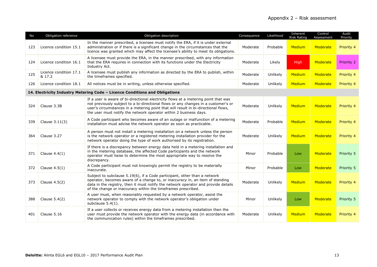| <b>No</b> | Obligation reference                                                        | Obligation description                                                                                                                                                                                                                                                                                                               | Consequence | Likelihood | Inherent<br><b>Risk Rating</b> | Control<br>Assessment | Audit<br>Priority |  |
|-----------|-----------------------------------------------------------------------------|--------------------------------------------------------------------------------------------------------------------------------------------------------------------------------------------------------------------------------------------------------------------------------------------------------------------------------------|-------------|------------|--------------------------------|-----------------------|-------------------|--|
| 123       | Licence condition 15.1                                                      | In the manner prescribed, a licensee must notify the ERA, if it is under external<br>administration or if there is a significant change in the circumstances that the<br>licence was granted which may affect the licensee's ability to meet its obligations.                                                                        | Moderate    | Probable   | <b>Medium</b>                  | Moderate              | Priority 4        |  |
| 124       | Licence condition 16.1                                                      | A licensee must provide the ERA, in the manner prescribed, with any information<br>that the ERA requires in connection with its functions under the Electricity<br>Industry Act.                                                                                                                                                     | Moderate    | Likely     | High                           | Moderate              | Priority 2        |  |
| 125       | Licence condition 17.1<br>& 17.2                                            | A licensee must publish any information as directed by the ERA to publish, within<br>the timeframes specified.                                                                                                                                                                                                                       | Moderate    | Unlikely   | <b>Medium</b>                  | Moderate              | Priority 4        |  |
| 126       | Licence condition 18.1                                                      | All notices must be in writing, unless otherwise specified.<br>Moderate                                                                                                                                                                                                                                                              |             | Unlikely   | Medium                         | Moderate              | Priority 4        |  |
|           | 14. Electricity Industry Metering Code - Licence Conditions and Obligations |                                                                                                                                                                                                                                                                                                                                      |             |            |                                |                       |                   |  |
| 324       | Clause 3.3B                                                                 | If a user is aware of bi-directional electricity flows at a metering point that was<br>not previously subject to a bi-directional flows or any changes in a customer's or<br>user's circumstances in a metering point that will result in bi-directional flows,<br>the user must notify the network operator within 2 business days. | Moderate    | Unlikely   | Medium                         | Moderate              | Priority 4        |  |
| 339       | Clause 3.11(3)                                                              | A Code participant who becomes aware of an outage or malfunction of a metering<br>installation must advise the network operator as soon as practicable.                                                                                                                                                                              | Moderate    | Probable   | <b>Medium</b>                  | Moderate              | Priority 4        |  |
| 364       | Clause 3.27                                                                 | A person must not install a metering installation on a network unless the person<br>is the network operator or a registered metering installation provider for the<br>network operator doing the type of work authorised by its registration.                                                                                        | Moderate    | Unlikely   | Medium                         | Moderate              | Priority 4        |  |
| 371       | Clause $4.4(1)$                                                             | If there is a discrepancy between energy data held in a metering installation and<br>in the metering database, the affected Code participants and the network<br>operator must liaise to determine the most appropriate way to resolve the<br>discrepancy.                                                                           | Minor       | Probable   | Low                            | Moderate              | Priority 5        |  |
| 372       | Clause $4.5(1)$                                                             | A Code participant must not knowingly permit the registry to be materially<br>inaccurate.                                                                                                                                                                                                                                            | Minor       | Probable   | Low                            | Moderate              | Priority 5        |  |
| 373       | Clause $4.5(2)$                                                             | Subject to subclause 5.19(6), if a Code participant, other than a network<br>operator, becomes aware of a change to, or inaccuracy in, an item of standing<br>data in the registry, then it must notify the network operator and provide details<br>of the change or inaccuracy within the timeframes prescribed.                    | Moderate    | Unlikely   | <b>Medium</b>                  | Moderate              | Priority 4        |  |
| 388       | Clause 5.4(2)                                                               | A user must, when reasonably requested by a network operator, assist the<br>network operator to comply with the network operator's obligation under<br>subclause $5.4(1)$ .                                                                                                                                                          | Minor       | Unlikely   | Low                            | Moderate              | Priority 5        |  |
| 401       | Clause 5.16                                                                 | If a user collects or receives energy data from a metering installation then the<br>user must provide the network operator with the energy data (in accordance with<br>the communication rules) within the timeframes prescribed.                                                                                                    | Moderate    | Unlikely   | <b>Medium</b>                  | Moderate              | Priority 4        |  |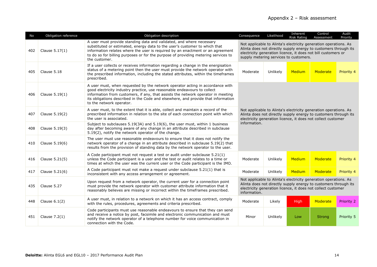| No  | Obligation reference | Obligation description                                                                                                                                                                                                                                                                                                                                         | Consequence                                                                                                                                                                                                                                    | Likelihood | Inherent<br><b>Risk Rating</b> | Control<br>Assessment | Audit<br>Priority |  |
|-----|----------------------|----------------------------------------------------------------------------------------------------------------------------------------------------------------------------------------------------------------------------------------------------------------------------------------------------------------------------------------------------------------|------------------------------------------------------------------------------------------------------------------------------------------------------------------------------------------------------------------------------------------------|------------|--------------------------------|-----------------------|-------------------|--|
| 402 | Clause 5.17(1)       | A user must provide standing data and validated, and where necessary<br>substituted or estimated, energy data to the user's customer to which that<br>information relates where the user is required by an enactment or an agreement<br>to do so for billing purposes or for the purpose of providing metering services to<br>the customer.                    | Not applicable to Alinta's electricity generation operations. As<br>Alinta does not directly supply energy to customers through its<br>electricity generation licence, it does not bill customers or<br>supply metering services to customers. |            |                                |                       |                   |  |
| 405 | Clause 5.18          | If a user collects or receives information regarding a change in the energisation<br>status of a metering point then the user must provide the network operator with<br>the prescribed information, including the stated attributes, within the timeframes<br>prescribed.                                                                                      | Moderate                                                                                                                                                                                                                                       | Unlikely   | Medium                         | Moderate              | Priority 4        |  |
| 406 | Clause $5.19(1)$     | A user must, when requested by the network operator acting in accordance with<br>good electricity industry practice, use reasonable endeavours to collect<br>information from customers, if any, that assists the network operator in meeting<br>its obligations described in the Code and elsewhere, and provide that information<br>to the network operator. | Not applicable to Alinta's electricity generation operations. As<br>Alinta does not directly supply energy to customers through its<br>electricity generation licence, it does not collect customer<br>information.                            |            |                                |                       |                   |  |
| 407 | Clause 5.19(2)       | A user must, to the extent that it is able, collect and maintain a record of the<br>prescribed information in relation to the site of each connection point with which<br>the user is associated.                                                                                                                                                              |                                                                                                                                                                                                                                                |            |                                |                       |                   |  |
| 408 | Clause 5.19(3)       | Subject to subclauses 5.19(3A) and 5.19(6), the user must, within 1 business<br>day after becoming aware of any change in an attribute described in subclause<br>5.19(2), notify the network operator of the change.                                                                                                                                           |                                                                                                                                                                                                                                                |            |                                |                       |                   |  |
| 410 | Clause 5.19(6)       | The user must use reasonable endeavours to ensure that it does not notify the<br>network operator of a change in an attribute described in subclause 5.19(2) that<br>results from the provision of standing data by the network operator to the user.                                                                                                          |                                                                                                                                                                                                                                                |            |                                |                       |                   |  |
| 416 | Clause 5.21(5)       | A Code participant must not request a test or audit under subclause 5.21(1)<br>unless the Code participant is a user and the test or audit relates to a time or<br>times at which the user was the current user or the Code participant is the IMO.                                                                                                            | Moderate                                                                                                                                                                                                                                       | Unlikely   | Medium                         | Moderate              | Priority 4        |  |
| 417 | Clause 5.21(6)       | A Code participant must not make a request under subclause 5.21(1) that is<br>inconsistent with any access arrangement or agreement.                                                                                                                                                                                                                           | Moderate                                                                                                                                                                                                                                       | Unlikely   | Medium                         | Moderate              | Priority 4        |  |
| 435 | Clause 5.27          | Upon request from a network operator, the current user for a connection point<br>must provide the network operator with customer attribute information that it<br>reasonably believes are missing or incorrect within the timeframes prescribed.                                                                                                               | Not applicable to Alinta's electricity generation operations. As<br>Alinta does not directly supply energy to customers through its<br>electricity generation licence, it does not collect customer<br>information.                            |            |                                |                       |                   |  |
| 448 | Clause $6.1(2)$      | A user must, in relation to a network on which it has an access contract, comply<br>with the rules, procedures, agreements and criteria prescribed.                                                                                                                                                                                                            | Moderate                                                                                                                                                                                                                                       | Likely     | High                           | Moderate              | Priority 2        |  |
| 451 | Clause $7.2(1)$      | Code participants must use reasonable endeavours to ensure that they can send<br>and receive a notice by post, facsimile and electronic communication and must<br>notify the network operator of a telephone number for voice communication in<br>connection with the Code.                                                                                    | Minor                                                                                                                                                                                                                                          | Unlikely   | Low                            | <b>Strong</b>         | Priority 5        |  |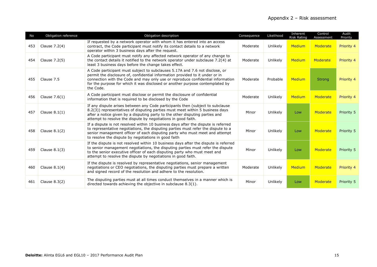| No  | Obligation reference | Obligation description                                                                                                                                                                                                                                                                                                                         | Consequence | Likelihood | Inherent<br><b>Risk Rating</b> | Control<br>Assessment | Audit<br>Priority |
|-----|----------------------|------------------------------------------------------------------------------------------------------------------------------------------------------------------------------------------------------------------------------------------------------------------------------------------------------------------------------------------------|-------------|------------|--------------------------------|-----------------------|-------------------|
| 453 | Clause $7.2(4)$      | If requested by a network operator with whom it has entered into an access<br>contract, the Code participant must notify its contact details to a network<br>operator within 3 business days after the request.                                                                                                                                | Moderate    | Unlikely   | <b>Medium</b>                  | Moderate              | Priority 4        |
| 454 | Clause 7.2(5)        | A Code participant must notify any affected network operator of any change to<br>the contact details it notified to the network operator under subclause 7.2(4) at<br>least 3 business days before the change takes effect.                                                                                                                    | Moderate    | Unlikely   | <b>Medium</b>                  | Moderate              | Priority 4        |
| 455 | Clause 7.5           | A Code participant must subject to subclauses 5.17A and 7.6 not disclose, or<br>permit the disclosure of, confidential information provided to it under or in<br>connection with the Code and may only use or reproduce confidential information<br>for the purpose for which it was disclosed or another purpose contemplated by<br>the Code. | Moderate    | Probable   | Medium                         | <b>Strong</b>         | Priority 4        |
| 456 | Clause $7.6(1)$      | A Code participant must disclose or permit the disclosure of confidential<br>information that is required to be disclosed by the Code                                                                                                                                                                                                          | Moderate    | Unlikely   | Medium                         | Moderate              | Priority 4        |
| 457 | Clause $8.1(1)$      | If any dispute arises between any Code participants then (subject to subclause<br>8.2(3)) representatives of disputing parties must meet within 5 business days<br>after a notice given by a disputing party to the other disputing parties and<br>attempt to resolve the dispute by negotiations in good faith.                               | Minor       | Unlikely   | Low                            | Moderate              | Priority 5        |
| 458 | Clause $8.1(2)$      | If a dispute is not resolved within 10 business days after the dispute is referred<br>to representative negotiations, the disputing parties must refer the dispute to a<br>senior management officer of each disputing party who must meet and attempt<br>to resolve the dispute by negotiations in good faith                                 | Minor       | Unlikely   | Low                            | Moderate              | Priority 5        |
| 459 | Clause $8.1(3)$      | If the dispute is not resolved within 10 business days after the dispute is referred<br>to senior management negotiations, the disputing parties must refer the dispute<br>to the senior executive officer of each disputing party who must meet and<br>attempt to resolve the dispute by negotiations in good faith.                          | Minor       | Unlikely   | Low                            | Moderate              | Priority 5        |
| 460 | Clause $8.1(4)$      | If the dispute is resolved by representative negotiations, senior management<br>negotiations or CEO negotiations, the disputing parties must prepare a written<br>and signed record of the resolution and adhere to the resolution.                                                                                                            | Moderate    | Unlikely   | <b>Medium</b>                  | Moderate              | Priority 4        |
| 461 | Clause $8.3(2)$      | The disputing parties must at all times conduct themselves in a manner which is<br>directed towards achieving the objective in subclause 8.3(1).                                                                                                                                                                                               | Minor       | Unlikely   | Low                            | Moderate              | Priority 5        |